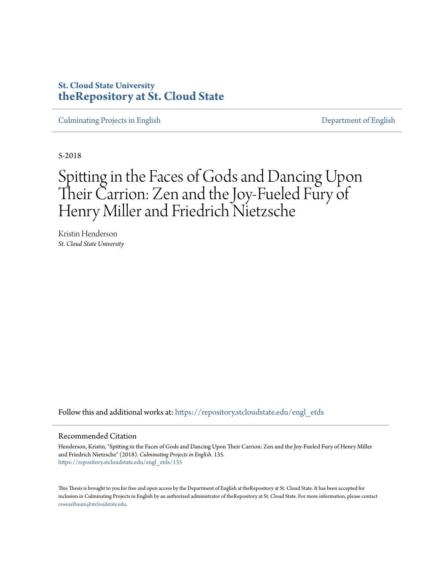# **St. Cloud State University [theRepository at St. Cloud State](https://repository.stcloudstate.edu?utm_source=repository.stcloudstate.edu%2Fengl_etds%2F135&utm_medium=PDF&utm_campaign=PDFCoverPages)**

[Culminating Projects in English](https://repository.stcloudstate.edu/engl_etds?utm_source=repository.stcloudstate.edu%2Fengl_etds%2F135&utm_medium=PDF&utm_campaign=PDFCoverPages) [Department of English](https://repository.stcloudstate.edu/engl?utm_source=repository.stcloudstate.edu%2Fengl_etds%2F135&utm_medium=PDF&utm_campaign=PDFCoverPages)

5-2018

# Spitting in the Faces of Gods and Dancing Upon Their Carrion: Zen and the Joy-Fueled Fury of Henry Miller and Friedrich Nietzsche

Kristin Henderson *St. Cloud State University*

Follow this and additional works at: [https://repository.stcloudstate.edu/engl\\_etds](https://repository.stcloudstate.edu/engl_etds?utm_source=repository.stcloudstate.edu%2Fengl_etds%2F135&utm_medium=PDF&utm_campaign=PDFCoverPages)

#### Recommended Citation

Henderson, Kristin, "Spitting in the Faces of Gods and Dancing Upon Their Carrion: Zen and the Joy-Fueled Fury of Henry Miller and Friedrich Nietzsche" (2018). *Culminating Projects in English*. 135. [https://repository.stcloudstate.edu/engl\\_etds/135](https://repository.stcloudstate.edu/engl_etds/135?utm_source=repository.stcloudstate.edu%2Fengl_etds%2F135&utm_medium=PDF&utm_campaign=PDFCoverPages)

This Thesis is brought to you for free and open access by the Department of English at theRepository at St. Cloud State. It has been accepted for inclusion in Culminating Projects in English by an authorized administrator of theRepository at St. Cloud State. For more information, please contact [rswexelbaum@stcloudstate.edu](mailto:rswexelbaum@stcloudstate.edu).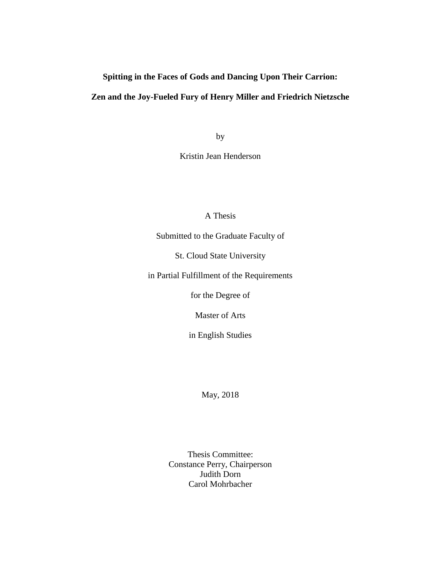# **Spitting in the Faces of Gods and Dancing Upon Their Carrion:**

# **Zen and the Joy-Fueled Fury of Henry Miller and Friedrich Nietzsche**

by

Kristin Jean Henderson

## A Thesis

Submitted to the Graduate Faculty of

St. Cloud State University

in Partial Fulfillment of the Requirements

for the Degree of

Master of Arts

in English Studies

## May, 2018

Thesis Committee: Constance Perry, Chairperson Judith Dorn Carol Mohrbacher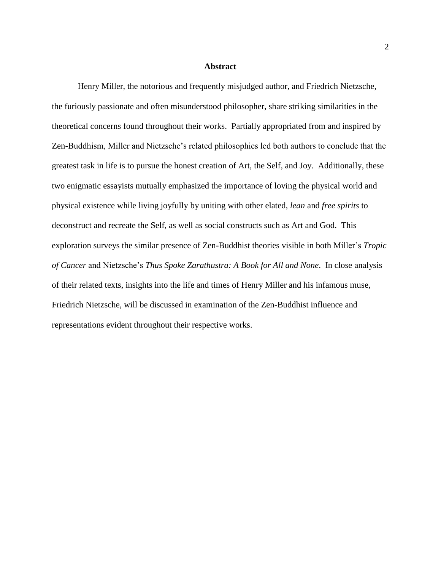#### **Abstract**

Henry Miller, the notorious and frequently misjudged author, and Friedrich Nietzsche, the furiously passionate and often misunderstood philosopher, share striking similarities in the theoretical concerns found throughout their works. Partially appropriated from and inspired by Zen-Buddhism, Miller and Nietzsche's related philosophies led both authors to conclude that the greatest task in life is to pursue the honest creation of Art, the Self, and Joy. Additionally, these two enigmatic essayists mutually emphasized the importance of loving the physical world and physical existence while living joyfully by uniting with other elated, *lean* and *free spirits* to deconstruct and recreate the Self, as well as social constructs such as Art and God. This exploration surveys the similar presence of Zen-Buddhist theories visible in both Miller's *Tropic of Cancer* and Nietzsche's *Thus Spoke Zarathustra: A Book for All and None*. In close analysis of their related texts, insights into the life and times of Henry Miller and his infamous muse, Friedrich Nietzsche, will be discussed in examination of the Zen-Buddhist influence and representations evident throughout their respective works.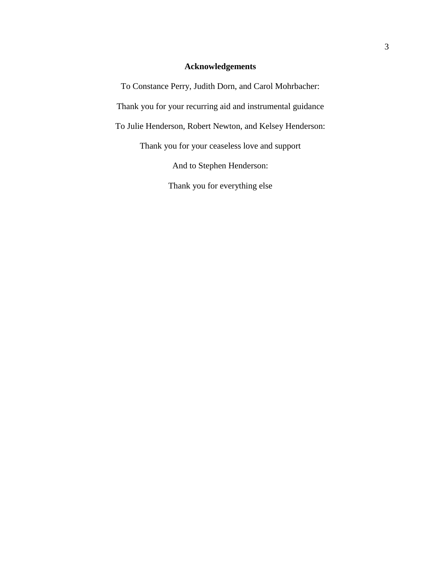## **Acknowledgements**

To Constance Perry, Judith Dorn, and Carol Mohrbacher: Thank you for your recurring aid and instrumental guidance To Julie Henderson, Robert Newton, and Kelsey Henderson: Thank you for your ceaseless love and support And to Stephen Henderson:

Thank you for everything else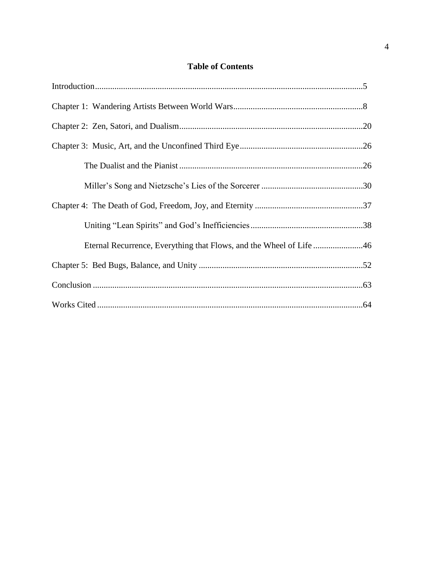# **Table of Contents**

| Eternal Recurrence, Everything that Flows, and the Wheel of Life 46 |  |
|---------------------------------------------------------------------|--|
|                                                                     |  |
|                                                                     |  |
|                                                                     |  |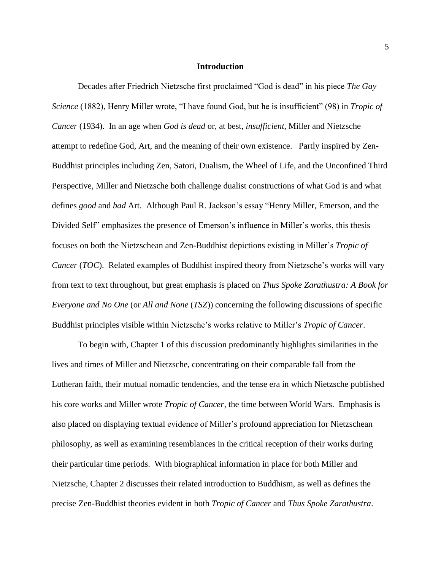#### **Introduction**

Decades after Friedrich Nietzsche first proclaimed "God is dead" in his piece *The Gay Science* (1882), Henry Miller wrote, "I have found God, but he is insufficient" (98) in *Tropic of Cancer* (1934). In an age when *God is dead* or, at best, *insufficient*, Miller and Nietzsche attempt to redefine God, Art, and the meaning of their own existence. Partly inspired by Zen-Buddhist principles including Zen, Satori, Dualism, the Wheel of Life, and the Unconfined Third Perspective, Miller and Nietzsche both challenge dualist constructions of what God is and what defines *good* and *bad* Art. Although Paul R. Jackson's essay "Henry Miller, Emerson, and the Divided Self" emphasizes the presence of Emerson's influence in Miller's works, this thesis focuses on both the Nietzschean and Zen-Buddhist depictions existing in Miller's *Tropic of Cancer* (*TOC*). Related examples of Buddhist inspired theory from Nietzsche's works will vary from text to text throughout, but great emphasis is placed on *Thus Spoke Zarathustra: A Book for Everyone and No One* (or *All and None* (*TSZ*)) concerning the following discussions of specific Buddhist principles visible within Nietzsche's works relative to Miller's *Tropic of Cancer*.

To begin with, Chapter 1 of this discussion predominantly highlights similarities in the lives and times of Miller and Nietzsche, concentrating on their comparable fall from the Lutheran faith, their mutual nomadic tendencies, and the tense era in which Nietzsche published his core works and Miller wrote *Tropic of Cancer*, the time between World Wars. Emphasis is also placed on displaying textual evidence of Miller's profound appreciation for Nietzschean philosophy, as well as examining resemblances in the critical reception of their works during their particular time periods. With biographical information in place for both Miller and Nietzsche, Chapter 2 discusses their related introduction to Buddhism, as well as defines the precise Zen-Buddhist theories evident in both *Tropic of Cancer* and *Thus Spoke Zarathustra*.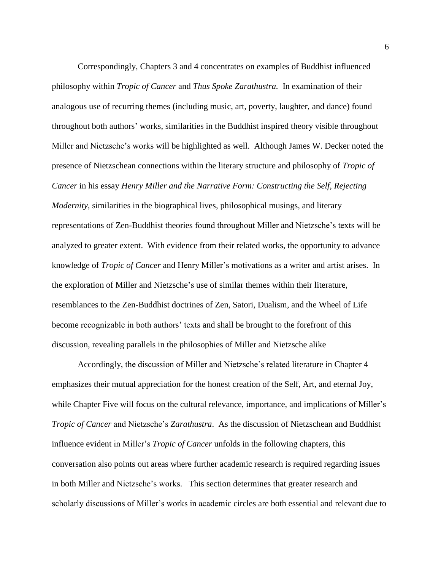Correspondingly, Chapters 3 and 4 concentrates on examples of Buddhist influenced philosophy within *Tropic of Cancer* and *Thus Spoke Zarathustra.* In examination of their analogous use of recurring themes (including music, art, poverty, laughter, and dance) found throughout both authors' works, similarities in the Buddhist inspired theory visible throughout Miller and Nietzsche's works will be highlighted as well. Although James W. Decker noted the presence of Nietzschean connections within the literary structure and philosophy of *Tropic of Cancer* in his essay *Henry Miller and the Narrative Form: Constructing the Self, Rejecting Modernity*, similarities in the biographical lives, philosophical musings, and literary representations of Zen-Buddhist theories found throughout Miller and Nietzsche's texts will be analyzed to greater extent. With evidence from their related works, the opportunity to advance knowledge of *Tropic of Cancer* and Henry Miller's motivations as a writer and artist arises. In the exploration of Miller and Nietzsche's use of similar themes within their literature, resemblances to the Zen-Buddhist doctrines of Zen, Satori, Dualism, and the Wheel of Life become recognizable in both authors' texts and shall be brought to the forefront of this discussion, revealing parallels in the philosophies of Miller and Nietzsche alike

Accordingly, the discussion of Miller and Nietzsche's related literature in Chapter 4 emphasizes their mutual appreciation for the honest creation of the Self, Art, and eternal Joy, while Chapter Five will focus on the cultural relevance, importance, and implications of Miller's *Tropic of Cancer* and Nietzsche's *Zarathustra*. As the discussion of Nietzschean and Buddhist influence evident in Miller's *Tropic of Cancer* unfolds in the following chapters, this conversation also points out areas where further academic research is required regarding issues in both Miller and Nietzsche's works. This section determines that greater research and scholarly discussions of Miller's works in academic circles are both essential and relevant due to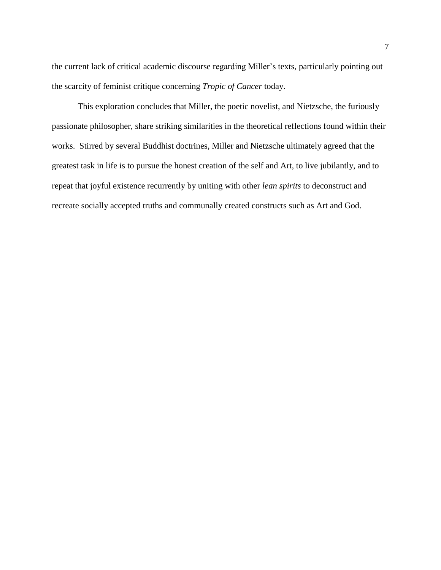the current lack of critical academic discourse regarding Miller's texts, particularly pointing out the scarcity of feminist critique concerning *Tropic of Cancer* today.

This exploration concludes that Miller, the poetic novelist, and Nietzsche, the furiously passionate philosopher, share striking similarities in the theoretical reflections found within their works. Stirred by several Buddhist doctrines, Miller and Nietzsche ultimately agreed that the greatest task in life is to pursue the honest creation of the self and Art, to live jubilantly, and to repeat that joyful existence recurrently by uniting with other *lean spirits* to deconstruct and recreate socially accepted truths and communally created constructs such as Art and God.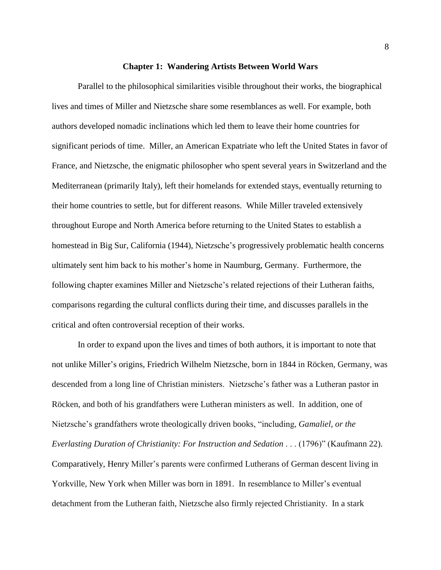#### **Chapter 1: Wandering Artists Between World Wars**

Parallel to the philosophical similarities visible throughout their works, the biographical lives and times of Miller and Nietzsche share some resemblances as well. For example, both authors developed nomadic inclinations which led them to leave their home countries for significant periods of time. Miller, an American Expatriate who left the United States in favor of France, and Nietzsche, the enigmatic philosopher who spent several years in Switzerland and the Mediterranean (primarily Italy), left their homelands for extended stays, eventually returning to their home countries to settle, but for different reasons. While Miller traveled extensively throughout Europe and North America before returning to the United States to establish a homestead in Big Sur, California (1944), Nietzsche's progressively problematic health concerns ultimately sent him back to his mother's home in Naumburg, Germany. Furthermore, the following chapter examines Miller and Nietzsche's related rejections of their Lutheran faiths, comparisons regarding the cultural conflicts during their time, and discusses parallels in the critical and often controversial reception of their works.

In order to expand upon the lives and times of both authors, it is important to note that not unlike Miller's origins, Friedrich Wilhelm Nietzsche, born in 1844 in Röcken, Germany, was descended from a long line of Christian ministers. Nietzsche's father was a Lutheran pastor in Röcken, and both of his grandfathers were Lutheran ministers as well. In addition, one of Nietzsche's grandfathers wrote theologically driven books, "including, *Gamaliel, or the Everlasting Duration of Christianity: For Instruction and Sedation* . . . (1796)" (Kaufmann 22). Comparatively, Henry Miller's parents were confirmed Lutherans of German descent living in Yorkville, New York when Miller was born in 1891. In resemblance to Miller's eventual detachment from the Lutheran faith, Nietzsche also firmly rejected Christianity. In a stark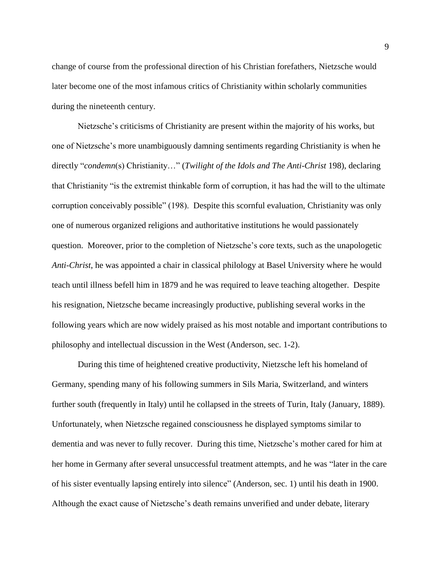change of course from the professional direction of his Christian forefathers, Nietzsche would later become one of the most infamous critics of Christianity within scholarly communities during the nineteenth century.

Nietzsche's criticisms of Christianity are present within the majority of his works, but one of Nietzsche's more unambiguously damning sentiments regarding Christianity is when he directly "*condemn*(s) Christianity…" (*Twilight of the Idols and The Anti-Christ* 198), declaring that Christianity "is the extremist thinkable form of corruption, it has had the will to the ultimate corruption conceivably possible" (198). Despite this scornful evaluation, Christianity was only one of numerous organized religions and authoritative institutions he would passionately question. Moreover, prior to the completion of Nietzsche's core texts, such as the unapologetic *Anti-Christ*, he was appointed a chair in classical philology at Basel University where he would teach until illness befell him in 1879 and he was required to leave teaching altogether. Despite his resignation, Nietzsche became increasingly productive, publishing several works in the following years which are now widely praised as his most notable and important contributions to philosophy and intellectual discussion in the West (Anderson, sec. 1-2).

During this time of heightened creative productivity, Nietzsche left his homeland of Germany, spending many of his following summers in Sils Maria, Switzerland, and winters further south (frequently in Italy) until he collapsed in the streets of Turin, Italy (January, 1889). Unfortunately, when Nietzsche regained consciousness he displayed symptoms similar to dementia and was never to fully recover. During this time, Nietzsche's mother cared for him at her home in Germany after several unsuccessful treatment attempts, and he was "later in the care of his sister eventually lapsing entirely into silence" (Anderson, sec. 1) until his death in 1900. Although the exact cause of Nietzsche's death remains unverified and under debate, literary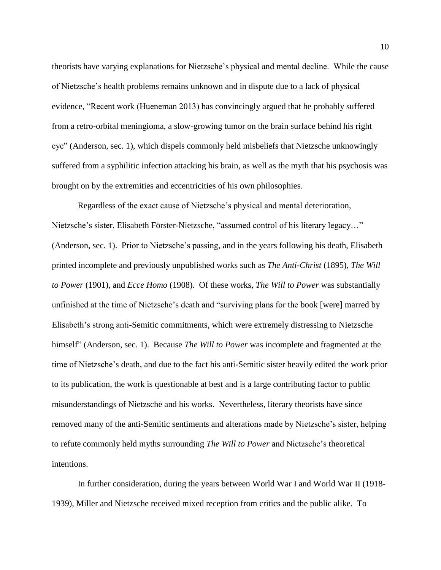theorists have varying explanations for Nietzsche's physical and mental decline. While the cause of Nietzsche's health problems remains unknown and in dispute due to a lack of physical evidence, "Recent work (Hueneman 2013) has convincingly argued that he probably suffered from a retro-orbital meningioma, a slow-growing tumor on the brain surface behind his right eye" (Anderson, sec. 1), which dispels commonly held misbeliefs that Nietzsche unknowingly suffered from a syphilitic infection attacking his brain, as well as the myth that his psychosis was brought on by the extremities and eccentricities of his own philosophies.

Regardless of the exact cause of Nietzsche's physical and mental deterioration, Nietzsche's sister, Elisabeth Förster-Nietzsche, "assumed control of his literary legacy…" (Anderson, sec. 1). Prior to Nietzsche's passing, and in the years following his death, Elisabeth printed incomplete and previously unpublished works such as *The Anti-Christ* (1895), *The Will to Power* (1901), and *Ecce Homo* (1908). Of these works, *The Will to Power* was substantially unfinished at the time of Nietzsche's death and "surviving plans for the book [were] marred by Elisabeth's strong anti-Semitic commitments, which were extremely distressing to Nietzsche himself" (Anderson, sec. 1). Because *The Will to Power* was incomplete and fragmented at the time of Nietzsche's death, and due to the fact his anti-Semitic sister heavily edited the work prior to its publication, the work is questionable at best and is a large contributing factor to public misunderstandings of Nietzsche and his works. Nevertheless, literary theorists have since removed many of the anti-Semitic sentiments and alterations made by Nietzsche's sister, helping to refute commonly held myths surrounding *The Will to Power* and Nietzsche's theoretical intentions.

In further consideration, during the years between World War I and World War II (1918- 1939), Miller and Nietzsche received mixed reception from critics and the public alike. To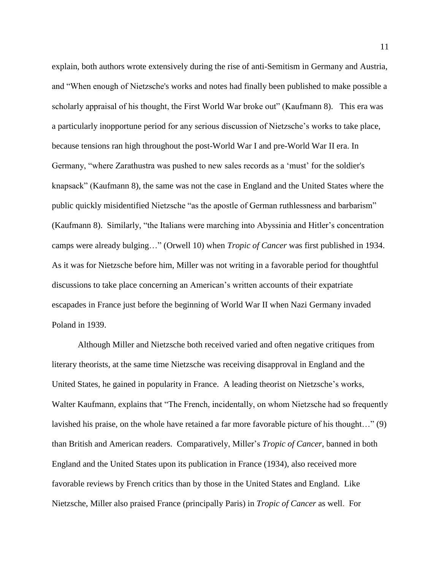explain, both authors wrote extensively during the rise of anti-Semitism in Germany and Austria, and "When enough of Nietzsche's works and notes had finally been published to make possible a scholarly appraisal of his thought, the First World War broke out" (Kaufmann 8). This era was a particularly inopportune period for any serious discussion of Nietzsche's works to take place, because tensions ran high throughout the post-World War I and pre-World War II era. In Germany, "where Zarathustra was pushed to new sales records as a 'must' for the soldier's knapsack" (Kaufmann 8), the same was not the case in England and the United States where the public quickly misidentified Nietzsche "as the apostle of German ruthlessness and barbarism" (Kaufmann 8). Similarly, "the Italians were marching into Abyssinia and Hitler's concentration camps were already bulging…" (Orwell 10) when *Tropic of Cancer* was first published in 1934. As it was for Nietzsche before him, Miller was not writing in a favorable period for thoughtful discussions to take place concerning an American's written accounts of their expatriate escapades in France just before the beginning of World War II when Nazi Germany invaded Poland in 1939.

Although Miller and Nietzsche both received varied and often negative critiques from literary theorists, at the same time Nietzsche was receiving disapproval in England and the United States, he gained in popularity in France. A leading theorist on Nietzsche's works, Walter Kaufmann, explains that "The French, incidentally, on whom Nietzsche had so frequently lavished his praise, on the whole have retained a far more favorable picture of his thought…" (9) than British and American readers. Comparatively, Miller's *Tropic of Cancer*, banned in both England and the United States upon its publication in France (1934), also received more favorable reviews by French critics than by those in the United States and England. Like Nietzsche, Miller also praised France (principally Paris) in *Tropic of Cancer* as well. For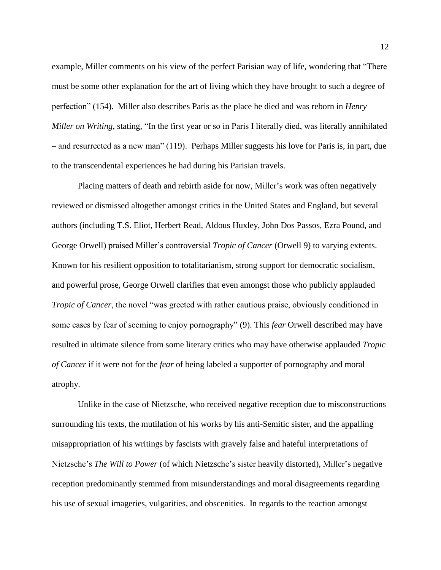example, Miller comments on his view of the perfect Parisian way of life, wondering that "There must be some other explanation for the art of living which they have brought to such a degree of perfection" (154). Miller also describes Paris as the place he died and was reborn in *Henry Miller on Writing*, stating, "In the first year or so in Paris I literally died, was literally annihilated – and resurrected as a new man" (119). Perhaps Miller suggests his love for Paris is, in part, due to the transcendental experiences he had during his Parisian travels.

Placing matters of death and rebirth aside for now, Miller's work was often negatively reviewed or dismissed altogether amongst critics in the United States and England, but several authors (including T.S. Eliot, Herbert Read, Aldous Huxley, John Dos Passos, Ezra Pound, and George Orwell) praised Miller's controversial *Tropic of Cancer* (Orwell 9) to varying extents. Known for his resilient opposition to totalitarianism, strong support for democratic socialism, and powerful prose, George Orwell clarifies that even amongst those who publicly applauded *Tropic of Cancer*, the novel "was greeted with rather cautious praise, obviously conditioned in some cases by fear of seeming to enjoy pornography" (9). This *fear* Orwell described may have resulted in ultimate silence from some literary critics who may have otherwise applauded *Tropic of Cancer* if it were not for the *fear* of being labeled a supporter of pornography and moral atrophy.

Unlike in the case of Nietzsche, who received negative reception due to misconstructions surrounding his texts, the mutilation of his works by his anti-Semitic sister, and the appalling misappropriation of his writings by fascists with gravely false and hateful interpretations of Nietzsche's *The Will to Power* (of which Nietzsche's sister heavily distorted), Miller's negative reception predominantly stemmed from misunderstandings and moral disagreements regarding his use of sexual imageries, vulgarities, and obscenities. In regards to the reaction amongst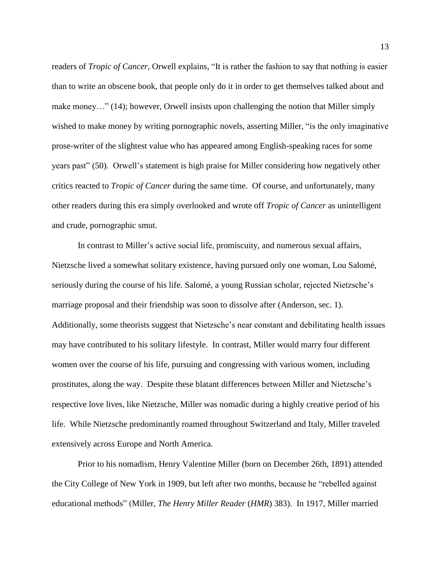readers of *Tropic of Cancer*, Orwell explains, "It is rather the fashion to say that nothing is easier than to write an obscene book, that people only do it in order to get themselves talked about and make money…" (14); however, Orwell insists upon challenging the notion that Miller simply wished to make money by writing pornographic novels, asserting Miller, "is the only imaginative prose-writer of the slightest value who has appeared among English-speaking races for some years past" (50). Orwell's statement is high praise for Miller considering how negatively other critics reacted to *Tropic of Cancer* during the same time. Of course, and unfortunately, many other readers during this era simply overlooked and wrote off *Tropic of Cancer* as unintelligent and crude, pornographic smut.

In contrast to Miller's active social life, promiscuity, and numerous sexual affairs, Nietzsche lived a somewhat solitary existence, having pursued only one woman, Lou Salomé, seriously during the course of his life. Salomé, a young Russian scholar, rejected Nietzsche's marriage proposal and their friendship was soon to dissolve after (Anderson, sec. 1). Additionally, some theorists suggest that Nietzsche's near constant and debilitating health issues may have contributed to his solitary lifestyle. In contrast, Miller would marry four different women over the course of his life, pursuing and congressing with various women, including prostitutes, along the way. Despite these blatant differences between Miller and Nietzsche's respective love lives, like Nietzsche, Miller was nomadic during a highly creative period of his life. While Nietzsche predominantly roamed throughout Switzerland and Italy, Miller traveled extensively across Europe and North America.

Prior to his nomadism, Henry Valentine Miller (born on December 26th, 1891) attended the City College of New York in 1909, but left after two months, because he "rebelled against educational methods" (Miller, *The Henry Miller Reader* (*HMR*) 383). In 1917, Miller married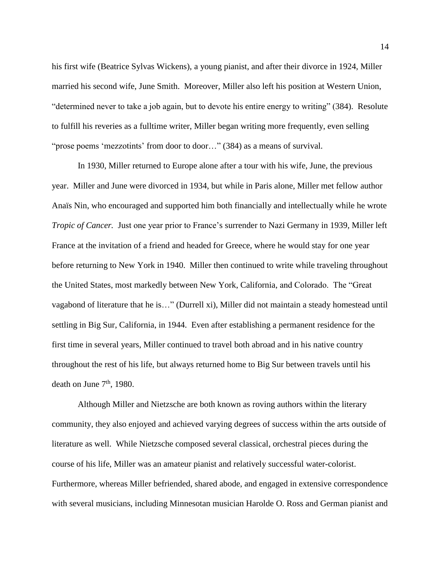his first wife (Beatrice Sylvas Wickens), a young pianist, and after their divorce in 1924, Miller married his second wife, June Smith. Moreover, Miller also left his position at Western Union, "determined never to take a job again, but to devote his entire energy to writing" (384). Resolute to fulfill his reveries as a fulltime writer, Miller began writing more frequently, even selling "prose poems 'mezzotints' from door to door…" (384) as a means of survival.

In 1930, Miller returned to Europe alone after a tour with his wife, June, the previous year. Miller and June were divorced in 1934, but while in Paris alone, Miller met fellow author Anaïs Nin, who encouraged and supported him both financially and intellectually while he wrote *Tropic of Cancer.* Just one year prior to France's surrender to Nazi Germany in 1939, Miller left France at the invitation of a friend and headed for Greece, where he would stay for one year before returning to New York in 1940. Miller then continued to write while traveling throughout the United States, most markedly between New York, California, and Colorado. The "Great vagabond of literature that he is…" (Durrell xi), Miller did not maintain a steady homestead until settling in Big Sur, California, in 1944. Even after establishing a permanent residence for the first time in several years, Miller continued to travel both abroad and in his native country throughout the rest of his life, but always returned home to Big Sur between travels until his death on June  $7<sup>th</sup>$ , 1980.

Although Miller and Nietzsche are both known as roving authors within the literary community, they also enjoyed and achieved varying degrees of success within the arts outside of literature as well. While Nietzsche composed several classical, orchestral pieces during the course of his life, Miller was an amateur pianist and relatively successful water-colorist. Furthermore, whereas Miller befriended, shared abode, and engaged in extensive correspondence with several musicians, including Minnesotan musician Harolde O. Ross and German pianist and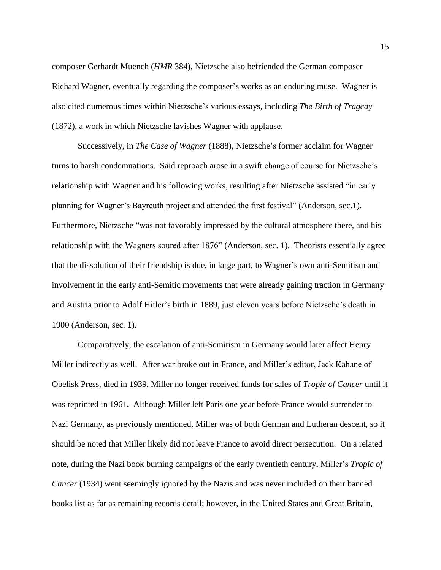composer Gerhardt Muench (*HMR* 384), Nietzsche also befriended the German composer Richard Wagner, eventually regarding the composer's works as an enduring muse. Wagner is also cited numerous times within Nietzsche's various essays, including *The Birth of Tragedy* (1872), a work in which Nietzsche lavishes Wagner with applause.

Successively, in *The Case of Wagner* (1888), Nietzsche's former acclaim for Wagner turns to harsh condemnations. Said reproach arose in a swift change of course for Nietzsche's relationship with Wagner and his following works, resulting after Nietzsche assisted "in early planning for Wagner's Bayreuth project and attended the first festival" (Anderson, sec.1). Furthermore, Nietzsche "was not favorably impressed by the cultural atmosphere there, and his relationship with the Wagners soured after 1876" (Anderson, sec. 1). Theorists essentially agree that the dissolution of their friendship is due, in large part, to Wagner's own anti-Semitism and involvement in the early anti-Semitic movements that were already gaining traction in Germany and Austria prior to Adolf Hitler's birth in 1889, just eleven years before Nietzsche's death in 1900 (Anderson, sec. 1).

Comparatively, the escalation of anti-Semitism in Germany would later affect Henry Miller indirectly as well. After war broke out in France, and Miller's editor, Jack Kahane of Obelisk Press, died in 1939, Miller no longer received funds for sales of *Tropic of Cancer* until it was reprinted in 1961**.** Although Miller left Paris one year before France would surrender to Nazi Germany, as previously mentioned, Miller was of both German and Lutheran descent, so it should be noted that Miller likely did not leave France to avoid direct persecution. On a related note, during the Nazi book burning campaigns of the early twentieth century, Miller's *Tropic of Cancer* (1934) went seemingly ignored by the Nazis and was never included on their banned books list as far as remaining records detail; however, in the United States and Great Britain,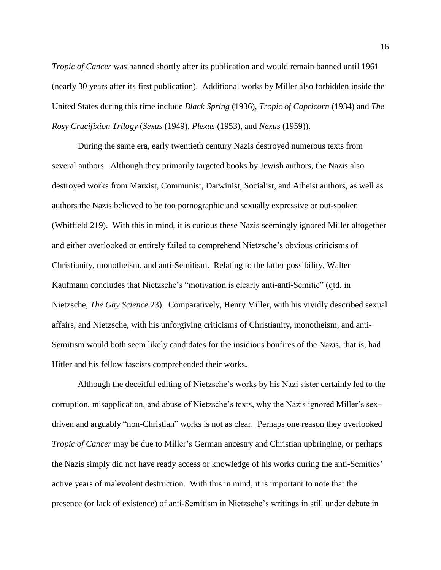*Tropic of Cancer* was banned shortly after its publication and would remain banned until 1961 (nearly 30 years after its first publication). Additional works by Miller also forbidden inside the United States during this time include *Black Spring* (1936), *Tropic of Capricorn* (1934) and *The Rosy Crucifixion Trilogy* (*Sexus* (1949), *Plexus* (1953), and *Nexus* (1959)).

During the same era, early twentieth century Nazis destroyed numerous texts from several authors. Although they primarily targeted books by Jewish authors, the Nazis also destroyed works from Marxist, Communist, Darwinist, Socialist, and Atheist authors, as well as authors the Nazis believed to be too pornographic and sexually expressive or out-spoken (Whitfield 219). With this in mind, it is curious these Nazis seemingly ignored Miller altogether and either overlooked or entirely failed to comprehend Nietzsche's obvious criticisms of Christianity, monotheism, and anti-Semitism. Relating to the latter possibility, Walter Kaufmann concludes that Nietzsche's "motivation is clearly anti-anti-Semitic" (qtd. in Nietzsche, *The Gay Science* 23). Comparatively, Henry Miller, with his vividly described sexual affairs, and Nietzsche, with his unforgiving criticisms of Christianity, monotheism, and anti-Semitism would both seem likely candidates for the insidious bonfires of the Nazis, that is, had Hitler and his fellow fascists comprehended their works**.**

Although the deceitful editing of Nietzsche's works by his Nazi sister certainly led to the corruption, misapplication, and abuse of Nietzsche's texts, why the Nazis ignored Miller's sexdriven and arguably "non-Christian" works is not as clear. Perhaps one reason they overlooked *Tropic of Cancer* may be due to Miller's German ancestry and Christian upbringing, or perhaps the Nazis simply did not have ready access or knowledge of his works during the anti-Semitics' active years of malevolent destruction. With this in mind, it is important to note that the presence (or lack of existence) of anti-Semitism in Nietzsche's writings in still under debate in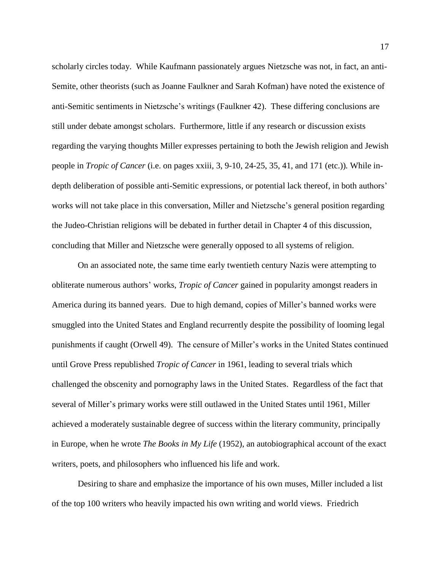scholarly circles today. While Kaufmann passionately argues Nietzsche was not, in fact, an anti-Semite, other theorists (such as Joanne Faulkner and Sarah Kofman) have noted the existence of anti-Semitic sentiments in Nietzsche's writings (Faulkner 42). These differing conclusions are still under debate amongst scholars. Furthermore, little if any research or discussion exists regarding the varying thoughts Miller expresses pertaining to both the Jewish religion and Jewish people in *Tropic of Cancer* (i.e. on pages xxiii, 3, 9-10, 24-25, 35, 41, and 171 (etc.))*.* While indepth deliberation of possible anti-Semitic expressions, or potential lack thereof, in both authors' works will not take place in this conversation, Miller and Nietzsche's general position regarding the Judeo-Christian religions will be debated in further detail in Chapter 4 of this discussion, concluding that Miller and Nietzsche were generally opposed to all systems of religion.

On an associated note, the same time early twentieth century Nazis were attempting to obliterate numerous authors' works, *Tropic of Cancer* gained in popularity amongst readers in America during its banned years. Due to high demand, copies of Miller's banned works were smuggled into the United States and England recurrently despite the possibility of looming legal punishments if caught (Orwell 49). The censure of Miller's works in the United States continued until Grove Press republished *Tropic of Cancer* in 1961, leading to several trials which challenged the obscenity and pornography laws in the United States. Regardless of the fact that several of Miller's primary works were still outlawed in the United States until 1961, Miller achieved a moderately sustainable degree of success within the literary community, principally in Europe, when he wrote *The Books in My Life* (1952), an autobiographical account of the exact writers, poets, and philosophers who influenced his life and work.

Desiring to share and emphasize the importance of his own muses, Miller included a list of the top 100 writers who heavily impacted his own writing and world views. Friedrich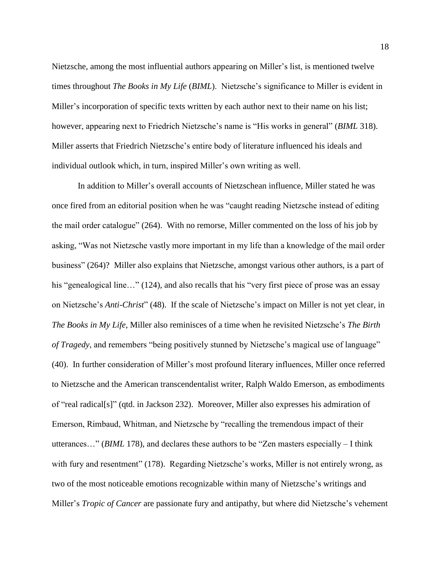Nietzsche, among the most influential authors appearing on Miller's list, is mentioned twelve times throughout *The Books in My Life* (*BIML*). Nietzsche's significance to Miller is evident in Miller's incorporation of specific texts written by each author next to their name on his list; however, appearing next to Friedrich Nietzsche's name is "His works in general" (*BIML* 318). Miller asserts that Friedrich Nietzsche's entire body of literature influenced his ideals and individual outlook which, in turn, inspired Miller's own writing as well.

In addition to Miller's overall accounts of Nietzschean influence, Miller stated he was once fired from an editorial position when he was "caught reading Nietzsche instead of editing the mail order catalogue" (264). With no remorse, Miller commented on the loss of his job by asking, "Was not Nietzsche vastly more important in my life than a knowledge of the mail order business" (264)? Miller also explains that Nietzsche, amongst various other authors, is a part of his "genealogical line..." (124), and also recalls that his "very first piece of prose was an essay on Nietzsche's *Anti-Christ*" (48). If the scale of Nietzsche's impact on Miller is not yet clear, in *The Books in My Life*, Miller also reminisces of a time when he revisited Nietzsche's *The Birth of Tragedy*, and remembers "being positively stunned by Nietzsche's magical use of language" (40). In further consideration of Miller's most profound literary influences, Miller once referred to Nietzsche and the American transcendentalist writer, Ralph Waldo Emerson, as embodiments of "real radical[s]" (qtd. in Jackson 232). Moreover, Miller also expresses his admiration of Emerson, Rimbaud, Whitman, and Nietzsche by "recalling the tremendous impact of their utterances…" (*BIML* 178), and declares these authors to be "Zen masters especially – I think with fury and resentment" (178). Regarding Nietzsche's works, Miller is not entirely wrong, as two of the most noticeable emotions recognizable within many of Nietzsche's writings and Miller's *Tropic of Cancer* are passionate fury and antipathy, but where did Nietzsche's vehement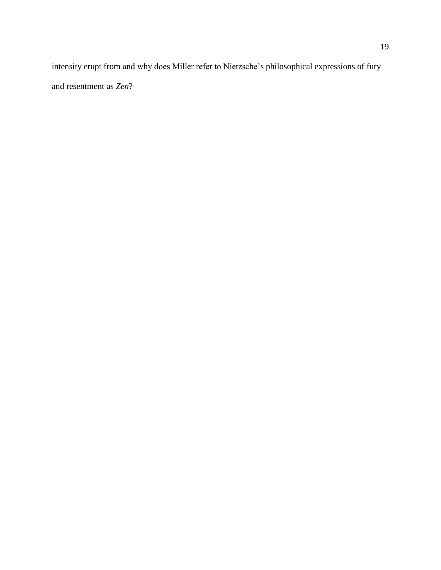intensity erupt from and why does Miller refer to Nietzsche's philosophical expressions of fury and resentment as *Zen*?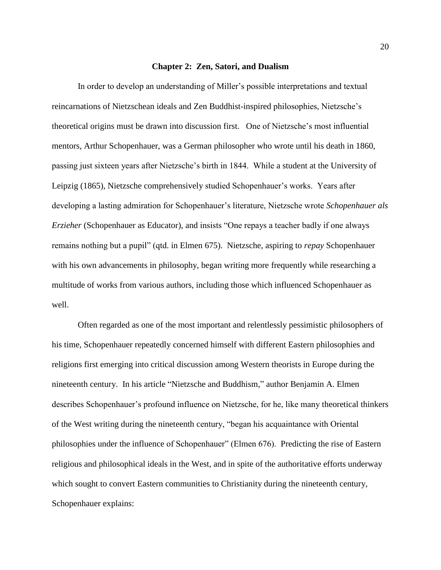#### **Chapter 2: Zen, Satori, and Dualism**

In order to develop an understanding of Miller's possible interpretations and textual reincarnations of Nietzschean ideals and Zen Buddhist-inspired philosophies, Nietzsche's theoretical origins must be drawn into discussion first. One of Nietzsche's most influential mentors, Arthur Schopenhauer, was a German philosopher who wrote until his death in 1860, passing just sixteen years after Nietzsche's birth in 1844. While a student at the University of Leipzig (1865), Nietzsche comprehensively studied Schopenhauer's works. Years after developing a lasting admiration for Schopenhauer's literature, Nietzsche wrote *Schopenhauer als Erzieher* (Schopenhauer as Educator), and insists "One repays a teacher badly if one always remains nothing but a pupil" (qtd. in Elmen 675). Nietzsche, aspiring to *repay* Schopenhauer with his own advancements in philosophy, began writing more frequently while researching a multitude of works from various authors, including those which influenced Schopenhauer as well.

Often regarded as one of the most important and relentlessly pessimistic philosophers of his time, Schopenhauer repeatedly concerned himself with different Eastern philosophies and religions first emerging into critical discussion among Western theorists in Europe during the nineteenth century. In his article "Nietzsche and Buddhism," author Benjamin A. Elmen describes Schopenhauer's profound influence on Nietzsche, for he, like many theoretical thinkers of the West writing during the nineteenth century, "began his acquaintance with Oriental philosophies under the influence of Schopenhauer" (Elmen 676). Predicting the rise of Eastern religious and philosophical ideals in the West, and in spite of the authoritative efforts underway which sought to convert Eastern communities to Christianity during the nineteenth century, Schopenhauer explains: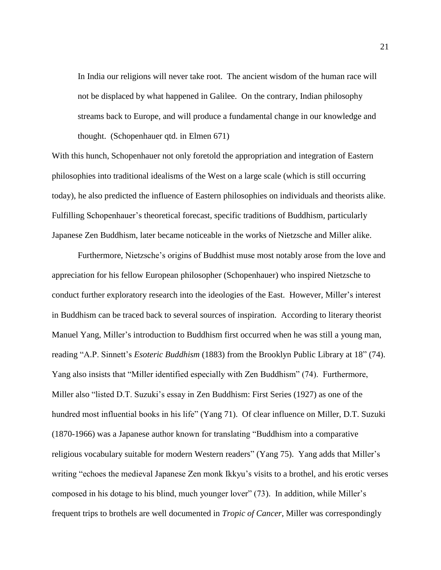In India our religions will never take root. The ancient wisdom of the human race will not be displaced by what happened in Galilee. On the contrary, Indian philosophy streams back to Europe, and will produce a fundamental change in our knowledge and thought. (Schopenhauer qtd. in Elmen 671)

With this hunch, Schopenhauer not only foretold the appropriation and integration of Eastern philosophies into traditional idealisms of the West on a large scale (which is still occurring today), he also predicted the influence of Eastern philosophies on individuals and theorists alike. Fulfilling Schopenhauer's theoretical forecast, specific traditions of Buddhism, particularly Japanese Zen Buddhism, later became noticeable in the works of Nietzsche and Miller alike.

Furthermore, Nietzsche's origins of Buddhist muse most notably arose from the love and appreciation for his fellow European philosopher (Schopenhauer) who inspired Nietzsche to conduct further exploratory research into the ideologies of the East. However, Miller's interest in Buddhism can be traced back to several sources of inspiration. According to literary theorist Manuel Yang, Miller's introduction to Buddhism first occurred when he was still a young man, reading "A.P. Sinnett's *Esoteric Buddhism* (1883) from the Brooklyn Public Library at 18" (74). Yang also insists that "Miller identified especially with Zen Buddhism" (74). Furthermore, Miller also "listed D.T. Suzuki's essay in Zen Buddhism: First Series (1927) as one of the hundred most influential books in his life" (Yang 71). Of clear influence on Miller, D.T. Suzuki (1870-1966) was a Japanese author known for translating "Buddhism into a comparative religious vocabulary suitable for modern Western readers" (Yang 75). Yang adds that Miller's writing "echoes the medieval Japanese Zen monk Ikkyu's visits to a brothel, and his erotic verses composed in his dotage to his blind, much younger lover" (73). In addition, while Miller's frequent trips to brothels are well documented in *Tropic of Cancer*, Miller was correspondingly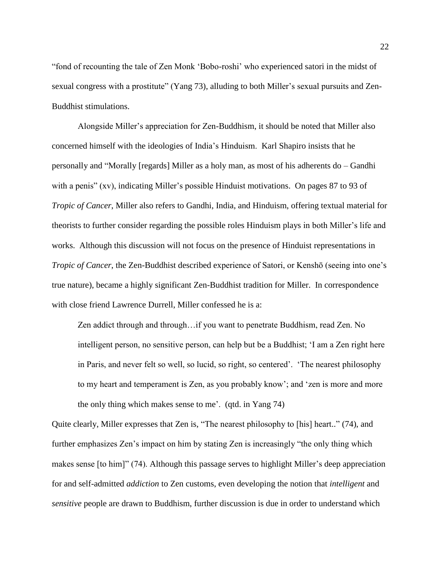"fond of recounting the tale of Zen Monk 'Bobo-roshi' who experienced satori in the midst of sexual congress with a prostitute" (Yang 73), alluding to both Miller's sexual pursuits and Zen-Buddhist stimulations.

Alongside Miller's appreciation for Zen-Buddhism, it should be noted that Miller also concerned himself with the ideologies of India's Hinduism. Karl Shapiro insists that he personally and "Morally [regards] Miller as a holy man, as most of his adherents do – Gandhi with a penis" (xv), indicating Miller's possible Hinduist motivations. On pages 87 to 93 of *Tropic of Cancer*, Miller also refers to Gandhi, India, and Hinduism, offering textual material for theorists to further consider regarding the possible roles Hinduism plays in both Miller's life and works. Although this discussion will not focus on the presence of Hinduist representations in *Tropic of Cancer*, the Zen-Buddhist described experience of Satori, or Kenshō (seeing into one's true nature), became a highly significant Zen-Buddhist tradition for Miller. In correspondence with close friend Lawrence Durrell, Miller confessed he is a:

Zen addict through and through…if you want to penetrate Buddhism, read Zen. No intelligent person, no sensitive person, can help but be a Buddhist; 'I am a Zen right here in Paris, and never felt so well, so lucid, so right, so centered'. 'The nearest philosophy to my heart and temperament is Zen, as you probably know'; and 'zen is more and more the only thing which makes sense to me'. (qtd. in Yang 74)

Quite clearly, Miller expresses that Zen is, "The nearest philosophy to [his] heart.." (74), and further emphasizes Zen's impact on him by stating Zen is increasingly "the only thing which makes sense [to him]" (74). Although this passage serves to highlight Miller's deep appreciation for and self-admitted *addiction* to Zen customs, even developing the notion that *intelligent* and *sensitive* people are drawn to Buddhism, further discussion is due in order to understand which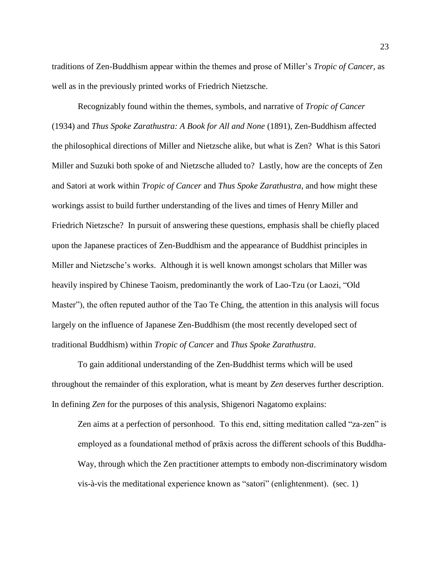traditions of Zen-Buddhism appear within the themes and prose of Miller's *Tropic of Cancer*, as well as in the previously printed works of Friedrich Nietzsche.

Recognizably found within the themes, symbols, and narrative of *Tropic of Cancer* (1934) and *Thus Spoke Zarathustra: A Book for All and None* (1891), Zen-Buddhism affected the philosophical directions of Miller and Nietzsche alike, but what is Zen? What is this Satori Miller and Suzuki both spoke of and Nietzsche alluded to? Lastly, how are the concepts of Zen and Satori at work within *Tropic of Cancer* and *Thus Spoke Zarathustra*, and how might these workings assist to build further understanding of the lives and times of Henry Miller and Friedrich Nietzsche? In pursuit of answering these questions, emphasis shall be chiefly placed upon the Japanese practices of Zen-Buddhism and the appearance of Buddhist principles in Miller and Nietzsche's works. Although it is well known amongst scholars that Miller was heavily inspired by Chinese Taoism, predominantly the work of Lao-Tzu (or Laozi, "Old Master"), the often reputed author of the Tao Te Ching, the attention in this analysis will focus largely on the influence of Japanese Zen-Buddhism (the most recently developed sect of traditional Buddhism) within *Tropic of Cancer* and *Thus Spoke Zarathustra*.

To gain additional understanding of the Zen-Buddhist terms which will be used throughout the remainder of this exploration, what is meant by *Zen* deserves further description. In defining *Zen* for the purposes of this analysis, Shigenori Nagatomo explains:

Zen aims at a perfection of personhood. To this end, sitting meditation called "za-zen" is employed as a foundational method of prāxis across the different schools of this Buddha-Way, through which the Zen practitioner attempts to embody non-discriminatory wisdom vis-à-vis the meditational experience known as "satori" (enlightenment). (sec. 1)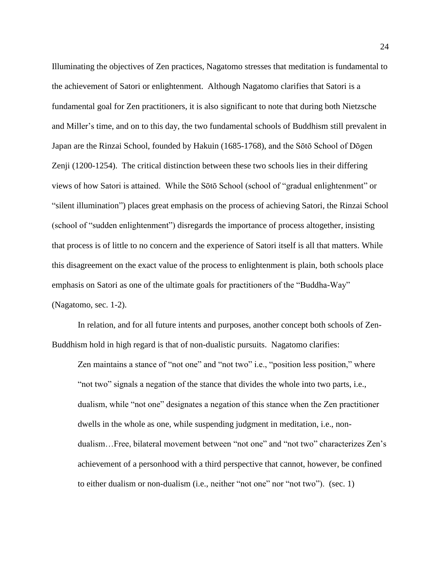Illuminating the objectives of Zen practices, Nagatomo stresses that meditation is fundamental to the achievement of Satori or enlightenment. Although Nagatomo clarifies that Satori is a fundamental goal for Zen practitioners, it is also significant to note that during both Nietzsche and Miller's time, and on to this day, the two fundamental schools of Buddhism still prevalent in Japan are the Rinzai School, founded by Hakuin (1685-1768), and the Sōtō School of Dōgen Zenji (1200-1254). The critical distinction between these two schools lies in their differing views of how Satori is attained. While the Sōtō School (school of "gradual enlightenment" or "silent illumination") places great emphasis on the process of achieving Satori, the Rinzai School (school of "sudden enlightenment") disregards the importance of process altogether, insisting that process is of little to no concern and the experience of Satori itself is all that matters. While this disagreement on the exact value of the process to enlightenment is plain, both schools place emphasis on Satori as one of the ultimate goals for practitioners of the "Buddha-Way" (Nagatomo, sec. 1-2).

In relation, and for all future intents and purposes, another concept both schools of Zen-Buddhism hold in high regard is that of non-dualistic pursuits. Nagatomo clarifies:

Zen maintains a stance of "not one" and "not two" *i.e.*, "position less position," where "not two" signals a negation of the stance that divides the whole into two parts, i.e., dualism, while "not one" designates a negation of this stance when the Zen practitioner dwells in the whole as one, while suspending judgment in meditation, i.e., nondualism…Free, bilateral movement between "not one" and "not two" characterizes Zen's achievement of a personhood with a third perspective that cannot, however, be confined to either dualism or non-dualism (i.e., neither "not one" nor "not two"). (sec. 1)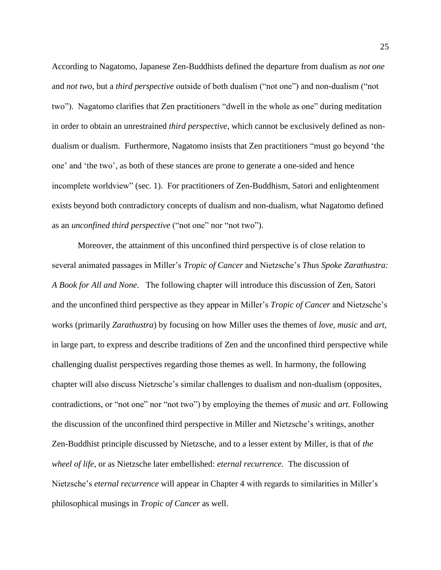According to Nagatomo, Japanese Zen-Buddhists defined the departure from dualism as *not one* and *not two*, but a *third perspective* outside of both dualism ("not one") and non-dualism ("not two"). Nagatomo clarifies that Zen practitioners "dwell in the whole as one" during meditation in order to obtain an unrestrained *third perspective*, which cannot be exclusively defined as nondualism or dualism. Furthermore, Nagatomo insists that Zen practitioners "must go beyond 'the one' and 'the two', as both of these stances are prone to generate a one-sided and hence incomplete worldview" (sec. 1). For practitioners of Zen-Buddhism, Satori and enlightenment exists beyond both contradictory concepts of dualism and non-dualism, what Nagatomo defined as an *unconfined third perspective* ("not one" nor "not two").

Moreover, the attainment of this unconfined third perspective is of close relation to several animated passages in Miller's *Tropic of Cancer* and Nietzsche's *Thus Spoke Zarathustra: A Book for All and None*. The following chapter will introduce this discussion of Zen, Satori and the unconfined third perspective as they appear in Miller's *Tropic of Cancer* and Nietzsche's works (primarily *Zarathustra*) by focusing on how Miller uses the themes of *love*, *music* and *art*, in large part, to express and describe traditions of Zen and the unconfined third perspective while challenging dualist perspectives regarding those themes as well. In harmony, the following chapter will also discuss Nietzsche's similar challenges to dualism and non-dualism (opposites, contradictions, or "not one" nor "not two") by employing the themes of *music* and *art.* Following the discussion of the unconfined third perspective in Miller and Nietzsche's writings, another Zen-Buddhist principle discussed by Nietzsche, and to a lesser extent by Miller, is that of *the wheel of life*, or as Nietzsche later embellished: *eternal recurrence.* The discussion of Nietzsche's *eternal recurrence* will appear in Chapter 4 with regards to similarities in Miller's philosophical musings in *Tropic of Cancer* as well.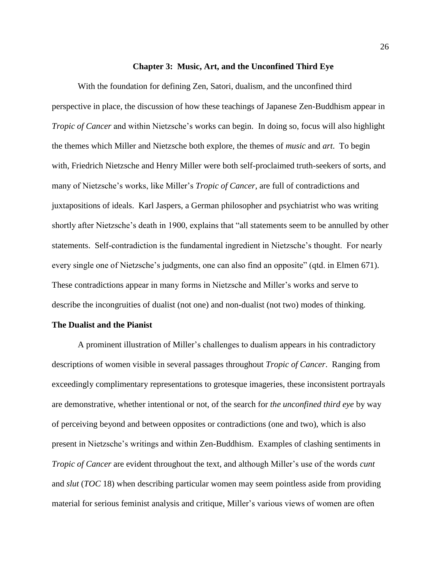#### **Chapter 3: Music, Art, and the Unconfined Third Eye**

With the foundation for defining Zen, Satori, dualism, and the unconfined third perspective in place, the discussion of how these teachings of Japanese Zen-Buddhism appear in *Tropic of Cancer* and within Nietzsche's works can begin. In doing so, focus will also highlight the themes which Miller and Nietzsche both explore, the themes of *music* and *art*. To begin with, Friedrich Nietzsche and Henry Miller were both self-proclaimed truth-seekers of sorts, and many of Nietzsche's works, like Miller's *Tropic of Cancer*, are full of contradictions and juxtapositions of ideals. Karl Jaspers, a German philosopher and psychiatrist who was writing shortly after Nietzsche's death in 1900, explains that "all statements seem to be annulled by other statements. Self-contradiction is the fundamental ingredient in Nietzsche's thought. For nearly every single one of Nietzsche's judgments, one can also find an opposite" (qtd. in Elmen 671). These contradictions appear in many forms in Nietzsche and Miller's works and serve to describe the incongruities of dualist (not one) and non-dualist (not two) modes of thinking.

### **The Dualist and the Pianist**

A prominent illustration of Miller's challenges to dualism appears in his contradictory descriptions of women visible in several passages throughout *Tropic of Cancer*. Ranging from exceedingly complimentary representations to grotesque imageries, these inconsistent portrayals are demonstrative, whether intentional or not, of the search for *the unconfined third eye* by way of perceiving beyond and between opposites or contradictions (one and two), which is also present in Nietzsche's writings and within Zen-Buddhism. Examples of clashing sentiments in *Tropic of Cancer* are evident throughout the text, and although Miller's use of the words *cunt* and *slut* (*TOC* 18) when describing particular women may seem pointless aside from providing material for serious feminist analysis and critique, Miller's various views of women are often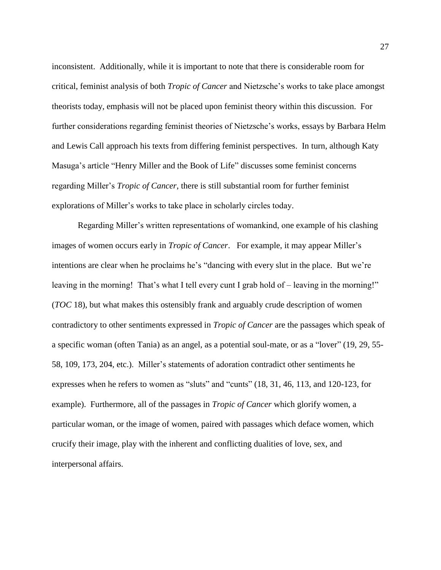inconsistent. Additionally, while it is important to note that there is considerable room for critical, feminist analysis of both *Tropic of Cancer* and Nietzsche's works to take place amongst theorists today, emphasis will not be placed upon feminist theory within this discussion. For further considerations regarding feminist theories of Nietzsche's works, essays by Barbara Helm and Lewis Call approach his texts from differing feminist perspectives. In turn, although Katy Masuga's article "Henry Miller and the Book of Life" discusses some feminist concerns regarding Miller's *Tropic of Cancer*, there is still substantial room for further feminist explorations of Miller's works to take place in scholarly circles today.

Regarding Miller's written representations of womankind, one example of his clashing images of women occurs early in *Tropic of Cancer*. For example, it may appear Miller's intentions are clear when he proclaims he's "dancing with every slut in the place. But we're leaving in the morning! That's what I tell every cunt I grab hold of – leaving in the morning!" (*TOC* 18), but what makes this ostensibly frank and arguably crude description of women contradictory to other sentiments expressed in *Tropic of Cancer* are the passages which speak of a specific woman (often Tania) as an angel, as a potential soul-mate, or as a "lover" (19, 29, 55- 58, 109, 173, 204, etc.). Miller's statements of adoration contradict other sentiments he expresses when he refers to women as "sluts" and "cunts" (18, 31, 46, 113, and 120-123, for example). Furthermore, all of the passages in *Tropic of Cancer* which glorify women, a particular woman, or the image of women, paired with passages which deface women, which crucify their image, play with the inherent and conflicting dualities of love, sex, and interpersonal affairs.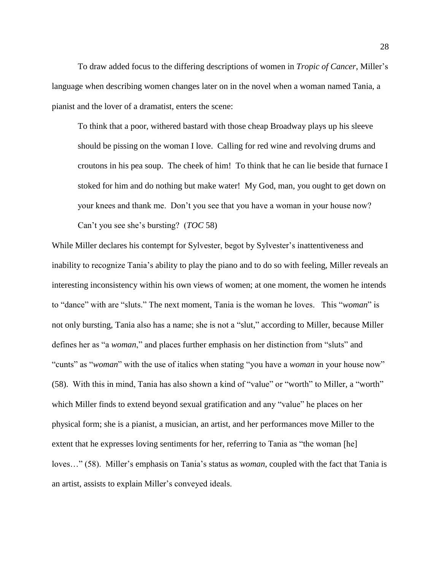To draw added focus to the differing descriptions of women in *Tropic of Cancer*, Miller's language when describing women changes later on in the novel when a woman named Tania, a pianist and the lover of a dramatist, enters the scene:

To think that a poor, withered bastard with those cheap Broadway plays up his sleeve should be pissing on the woman I love. Calling for red wine and revolving drums and croutons in his pea soup. The cheek of him! To think that he can lie beside that furnace I stoked for him and do nothing but make water! My God, man, you ought to get down on your knees and thank me. Don't you see that you have a woman in your house now? Can't you see she's bursting? (*TOC* 58)

While Miller declares his contempt for Sylvester, begot by Sylvester's inattentiveness and inability to recognize Tania's ability to play the piano and to do so with feeling, Miller reveals an interesting inconsistency within his own views of women; at one moment, the women he intends to "dance" with are "sluts." The next moment, Tania is the woman he loves. This "*woman*" is not only bursting, Tania also has a name; she is not a "slut," according to Miller, because Miller defines her as "a *woman*," and places further emphasis on her distinction from "sluts" and "cunts" as "*woman*" with the use of italics when stating "you have a *woman* in your house now" (58). With this in mind, Tania has also shown a kind of "value" or "worth" to Miller, a "worth" which Miller finds to extend beyond sexual gratification and any "value" he places on her physical form; she is a pianist, a musician, an artist, and her performances move Miller to the extent that he expresses loving sentiments for her, referring to Tania as "the woman [he] loves…" (58). Miller's emphasis on Tania's status as *woman*, coupled with the fact that Tania is an artist, assists to explain Miller's conveyed ideals.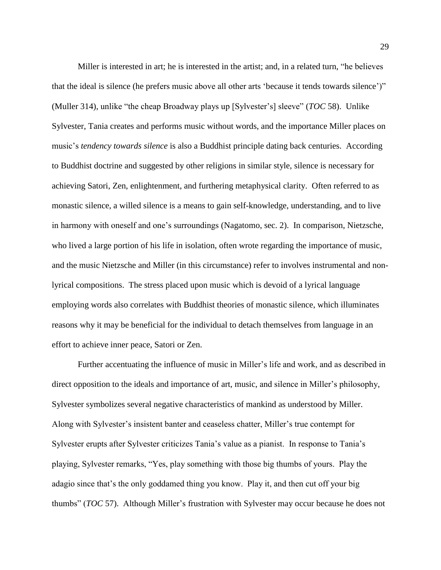Miller is interested in art; he is interested in the artist; and, in a related turn, "he believes that the ideal is silence (he prefers music above all other arts 'because it tends towards silence')" (Muller 314), unlike "the cheap Broadway plays up [Sylvester's] sleeve" (*TOC* 58). Unlike Sylvester, Tania creates and performs music without words, and the importance Miller places on music's *tendency towards silence* is also a Buddhist principle dating back centuries. According to Buddhist doctrine and suggested by other religions in similar style, silence is necessary for achieving Satori, Zen, enlightenment, and furthering metaphysical clarity. Often referred to as monastic silence, a willed silence is a means to gain self-knowledge, understanding, and to live in harmony with oneself and one's surroundings (Nagatomo, sec. 2). In comparison, Nietzsche, who lived a large portion of his life in isolation, often wrote regarding the importance of music, and the music Nietzsche and Miller (in this circumstance) refer to involves instrumental and nonlyrical compositions. The stress placed upon music which is devoid of a lyrical language employing words also correlates with Buddhist theories of monastic silence, which illuminates reasons why it may be beneficial for the individual to detach themselves from language in an effort to achieve inner peace, Satori or Zen.

Further accentuating the influence of music in Miller's life and work, and as described in direct opposition to the ideals and importance of art, music, and silence in Miller's philosophy, Sylvester symbolizes several negative characteristics of mankind as understood by Miller. Along with Sylvester's insistent banter and ceaseless chatter, Miller's true contempt for Sylvester erupts after Sylvester criticizes Tania's value as a pianist. In response to Tania's playing, Sylvester remarks, "Yes, play something with those big thumbs of yours. Play the adagio since that's the only goddamed thing you know. Play it, and then cut off your big thumbs" (*TOC* 57). Although Miller's frustration with Sylvester may occur because he does not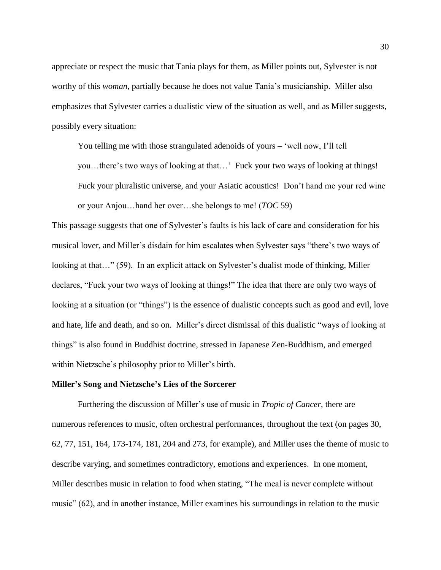appreciate or respect the music that Tania plays for them, as Miller points out, Sylvester is not worthy of this *woman,* partially because he does not value Tania's musicianship. Miller also emphasizes that Sylvester carries a dualistic view of the situation as well, and as Miller suggests, possibly every situation:

You telling me with those strangulated adenoids of yours – 'well now, I'll tell you…there's two ways of looking at that…' Fuck your two ways of looking at things! Fuck your pluralistic universe, and your Asiatic acoustics! Don't hand me your red wine or your Anjou…hand her over…she belongs to me! (*TOC* 59)

This passage suggests that one of Sylvester's faults is his lack of care and consideration for his musical lover, and Miller's disdain for him escalates when Sylvester says "there's two ways of looking at that..." (59). In an explicit attack on Sylvester's dualist mode of thinking, Miller declares, "Fuck your two ways of looking at things!" The idea that there are only two ways of looking at a situation (or "things") is the essence of dualistic concepts such as good and evil, love and hate, life and death, and so on. Miller's direct dismissal of this dualistic "ways of looking at things" is also found in Buddhist doctrine, stressed in Japanese Zen-Buddhism, and emerged within Nietzsche's philosophy prior to Miller's birth.

#### **Miller's Song and Nietzsche's Lies of the Sorcerer**

Furthering the discussion of Miller's use of music in *Tropic of Cancer*, there are numerous references to music, often orchestral performances, throughout the text (on pages 30, 62, 77, 151, 164, 173-174, 181, 204 and 273, for example), and Miller uses the theme of music to describe varying, and sometimes contradictory, emotions and experiences. In one moment, Miller describes music in relation to food when stating, "The meal is never complete without music" (62), and in another instance, Miller examines his surroundings in relation to the music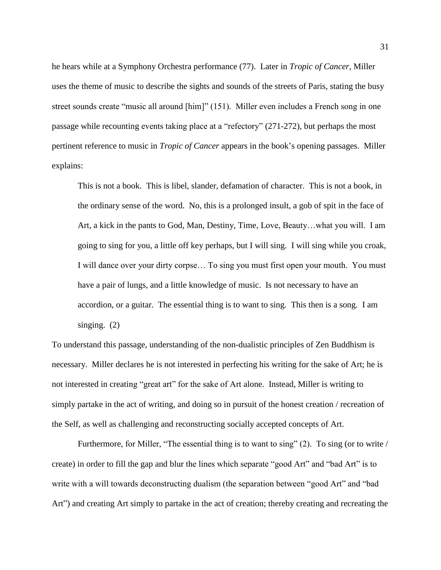he hears while at a Symphony Orchestra performance (77). Later in *Tropic of Cancer,* Miller uses the theme of music to describe the sights and sounds of the streets of Paris, stating the busy street sounds create "music all around [him]" (151). Miller even includes a French song in one passage while recounting events taking place at a "refectory" (271-272), but perhaps the most pertinent reference to music in *Tropic of Cancer* appears in the book's opening passages. Miller explains:

This is not a book. This is libel, slander, defamation of character. This is not a book, in the ordinary sense of the word. No, this is a prolonged insult, a gob of spit in the face of Art, a kick in the pants to God, Man, Destiny, Time, Love, Beauty…what you will. I am going to sing for you, a little off key perhaps, but I will sing. I will sing while you croak, I will dance over your dirty corpse… To sing you must first open your mouth. You must have a pair of lungs, and a little knowledge of music. Is not necessary to have an accordion, or a guitar. The essential thing is to want to sing. This then is a song. I am singing.  $(2)$ 

To understand this passage, understanding of the non-dualistic principles of Zen Buddhism is necessary. Miller declares he is not interested in perfecting his writing for the sake of Art; he is not interested in creating "great art" for the sake of Art alone. Instead, Miller is writing to simply partake in the act of writing, and doing so in pursuit of the honest creation / recreation of the Self, as well as challenging and reconstructing socially accepted concepts of Art.

Furthermore, for Miller, "The essential thing is to want to sing" (2). To sing (or to write / create) in order to fill the gap and blur the lines which separate "good Art" and "bad Art" is to write with a will towards deconstructing dualism (the separation between "good Art" and "bad Art") and creating Art simply to partake in the act of creation; thereby creating and recreating the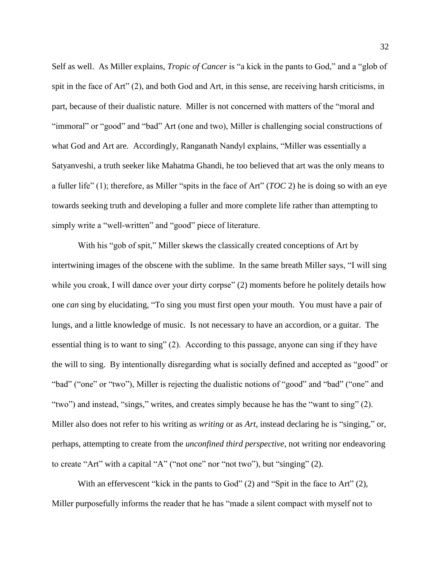Self as well. As Miller explains, *Tropic of Cancer* is "a kick in the pants to God," and a "glob of spit in the face of Art" (2), and both God and Art, in this sense, are receiving harsh criticisms, in part, because of their dualistic nature. Miller is not concerned with matters of the "moral and "immoral" or "good" and "bad" Art (one and two), Miller is challenging social constructions of what God and Art are. Accordingly, Ranganath Nandyl explains, "Miller was essentially a Satyanveshi, a truth seeker like Mahatma Ghandi, he too believed that art was the only means to a fuller life" (1); therefore, as Miller "spits in the face of Art" (*TOC* 2) he is doing so with an eye towards seeking truth and developing a fuller and more complete life rather than attempting to simply write a "well-written" and "good" piece of literature.

With his "gob of spit," Miller skews the classically created conceptions of Art by intertwining images of the obscene with the sublime. In the same breath Miller says, "I will sing while you croak, I will dance over your dirty corpse" (2) moments before he politely details how one *can* sing by elucidating, "To sing you must first open your mouth. You must have a pair of lungs, and a little knowledge of music. Is not necessary to have an accordion, or a guitar. The essential thing is to want to sing" (2). According to this passage, anyone can sing if they have the will to sing. By intentionally disregarding what is socially defined and accepted as "good" or "bad" ("one" or "two"), Miller is rejecting the dualistic notions of "good" and "bad" ("one" and "two") and instead, "sings," writes, and creates simply because he has the "want to sing" (2). Miller also does not refer to his writing as *writing* or as *Art*, instead declaring he is "singing," or, perhaps, attempting to create from the *unconfined third perspective*, not writing nor endeavoring to create "Art" with a capital "A" ("not one" nor "not two"), but "singing" (2).

With an effervescent "kick in the pants to God" (2) and "Spit in the face to Art" (2), Miller purposefully informs the reader that he has "made a silent compact with myself not to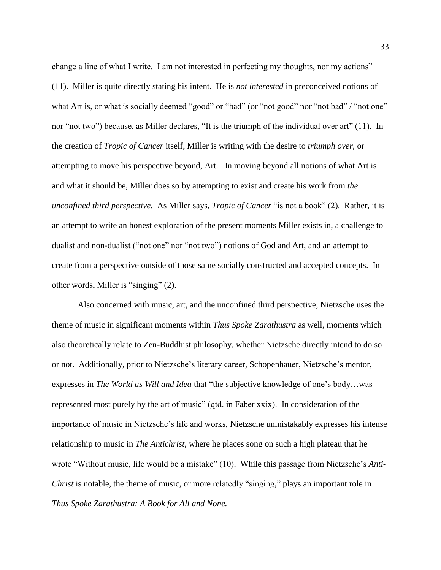change a line of what I write. I am not interested in perfecting my thoughts, nor my actions" (11). Miller is quite directly stating his intent. He is *not interested* in preconceived notions of what Art is, or what is socially deemed "good" or "bad" (or "not good" nor "not bad" / "not one" nor "not two") because, as Miller declares, "It is the triumph of the individual over art" (11). In the creation of *Tropic of Cancer* itself, Miller is writing with the desire to *triumph over*, or attempting to move his perspective beyond, Art. In moving beyond all notions of what Art is and what it should be, Miller does so by attempting to exist and create his work from *the unconfined third perspective*. As Miller says, *Tropic of Cancer* "is not a book" (2). Rather, it is an attempt to write an honest exploration of the present moments Miller exists in, a challenge to dualist and non-dualist ("not one" nor "not two") notions of God and Art, and an attempt to create from a perspective outside of those same socially constructed and accepted concepts. In other words, Miller is "singing" (2).

Also concerned with music, art, and the unconfined third perspective, Nietzsche uses the theme of music in significant moments within *Thus Spoke Zarathustra* as well, moments which also theoretically relate to Zen-Buddhist philosophy, whether Nietzsche directly intend to do so or not. Additionally, prior to Nietzsche's literary career, Schopenhauer, Nietzsche's mentor, expresses in *The World as Will and Idea* that "the subjective knowledge of one's body…was represented most purely by the art of music" (qtd. in Faber xxix). In consideration of the importance of music in Nietzsche's life and works, Nietzsche unmistakably expresses his intense relationship to music in *The Antichrist*, where he places song on such a high plateau that he wrote "Without music, life would be a mistake" (10). While this passage from Nietzsche's *Anti-Christ* is notable, the theme of music, or more relatedly "singing," plays an important role in *Thus Spoke Zarathustra: A Book for All and None.*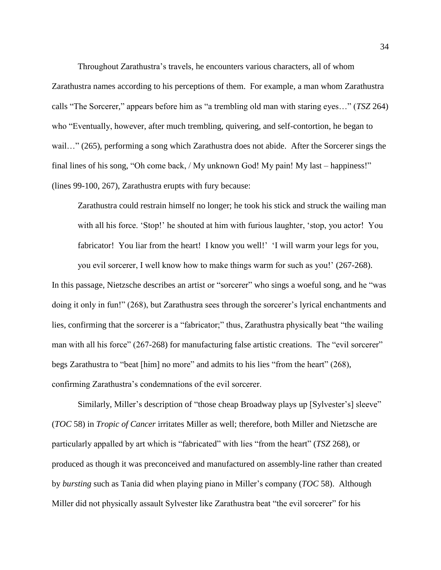Throughout Zarathustra's travels, he encounters various characters, all of whom Zarathustra names according to his perceptions of them. For example, a man whom Zarathustra calls "The Sorcerer," appears before him as "a trembling old man with staring eyes…" (*TSZ* 264) who "Eventually, however, after much trembling, quivering, and self-contortion, he began to wail..." (265), performing a song which Zarathustra does not abide. After the Sorcerer sings the final lines of his song, "Oh come back, / My unknown God! My pain! My last – happiness!" (lines 99-100, 267), Zarathustra erupts with fury because:

Zarathustra could restrain himself no longer; he took his stick and struck the wailing man with all his force. 'Stop!' he shouted at him with furious laughter, 'stop, you actor! You fabricator! You liar from the heart! I know you well!' 'I will warm your legs for you,

you evil sorcerer, I well know how to make things warm for such as you!' (267-268). In this passage, Nietzsche describes an artist or "sorcerer" who sings a woeful song, and he "was doing it only in fun!" (268), but Zarathustra sees through the sorcerer's lyrical enchantments and lies, confirming that the sorcerer is a "fabricator;" thus, Zarathustra physically beat "the wailing man with all his force" (267-268) for manufacturing false artistic creations. The "evil sorcerer" begs Zarathustra to "beat [him] no more" and admits to his lies "from the heart" (268), confirming Zarathustra's condemnations of the evil sorcerer.

Similarly, Miller's description of "those cheap Broadway plays up [Sylvester's] sleeve" (*TOC* 58) in *Tropic of Cancer* irritates Miller as well; therefore, both Miller and Nietzsche are particularly appalled by art which is "fabricated" with lies "from the heart" (*TSZ* 268), or produced as though it was preconceived and manufactured on assembly-line rather than created by *bursting* such as Tania did when playing piano in Miller's company (*TOC* 58). Although Miller did not physically assault Sylvester like Zarathustra beat "the evil sorcerer" for his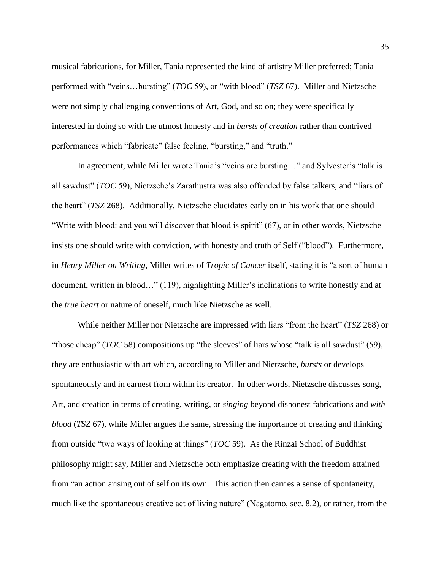musical fabrications, for Miller, Tania represented the kind of artistry Miller preferred; Tania performed with "veins…bursting" (*TOC* 59), or "with blood" (*TSZ* 67). Miller and Nietzsche were not simply challenging conventions of Art, God, and so on; they were specifically interested in doing so with the utmost honesty and in *bursts of creation* rather than contrived performances which "fabricate" false feeling, "bursting," and "truth."

In agreement, while Miller wrote Tania's "veins are bursting…" and Sylvester's "talk is all sawdust" (*TOC* 59), Nietzsche's Zarathustra was also offended by false talkers, and "liars of the heart" (*TSZ* 268). Additionally, Nietzsche elucidates early on in his work that one should "Write with blood: and you will discover that blood is spirit" (67), or in other words, Nietzsche insists one should write with conviction, with honesty and truth of Self ("blood"). Furthermore, in *Henry Miller on Writing*, Miller writes of *Tropic of Cancer* itself, stating it is "a sort of human document, written in blood…" (119), highlighting Miller's inclinations to write honestly and at the *true heart* or nature of oneself, much like Nietzsche as well.

While neither Miller nor Nietzsche are impressed with liars "from the heart" (*TSZ* 268) or "those cheap" (*TOC* 58) compositions up "the sleeves" of liars whose "talk is all sawdust" (59), they are enthusiastic with art which, according to Miller and Nietzsche, *bursts* or develops spontaneously and in earnest from within its creator. In other words, Nietzsche discusses song, Art, and creation in terms of creating, writing, or *singing* beyond dishonest fabrications and *with blood* (*TSZ* 67), while Miller argues the same, stressing the importance of creating and thinking from outside "two ways of looking at things" (*TOC* 59). As the Rinzai School of Buddhist philosophy might say, Miller and Nietzsche both emphasize creating with the freedom attained from "an action arising out of self on its own. This action then carries a sense of spontaneity, much like the spontaneous creative act of living nature" (Nagatomo, sec. 8.2), or rather, from the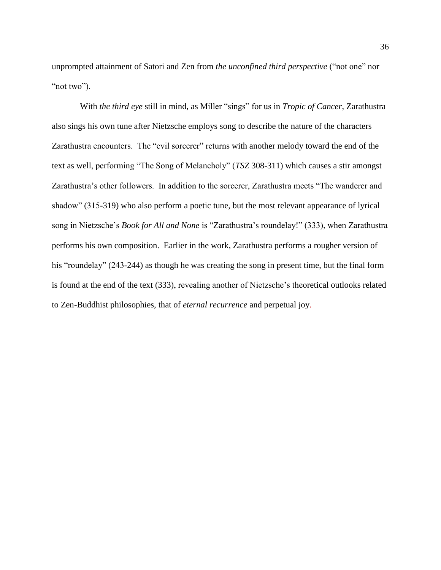unprompted attainment of Satori and Zen from *the unconfined third perspective* ("not one" nor "not two").

With *the third eye* still in mind, as Miller "sings" for us in *Tropic of Cancer*, Zarathustra also sings his own tune after Nietzsche employs song to describe the nature of the characters Zarathustra encounters. The "evil sorcerer" returns with another melody toward the end of the text as well, performing "The Song of Melancholy" (*TSZ* 308-311) which causes a stir amongst Zarathustra's other followers. In addition to the sorcerer, Zarathustra meets "The wanderer and shadow" (315-319) who also perform a poetic tune, but the most relevant appearance of lyrical song in Nietzsche's *Book for All and None* is "Zarathustra's roundelay!" (333), when Zarathustra performs his own composition. Earlier in the work, Zarathustra performs a rougher version of his "roundelay" (243-244) as though he was creating the song in present time, but the final form is found at the end of the text (333), revealing another of Nietzsche's theoretical outlooks related to Zen-Buddhist philosophies, that of *eternal recurrence* and perpetual joy.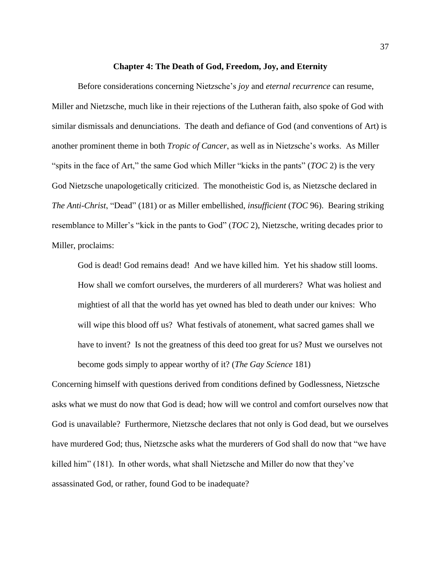#### **Chapter 4: The Death of God, Freedom, Joy, and Eternity**

Before considerations concerning Nietzsche's *joy* and *eternal recurrence* can resume, Miller and Nietzsche, much like in their rejections of the Lutheran faith, also spoke of God with similar dismissals and denunciations. The death and defiance of God (and conventions of Art) is another prominent theme in both *Tropic of Cancer*, as well as in Nietzsche's works. As Miller "spits in the face of Art," the same God which Miller "kicks in the pants" (*TOC* 2) is the very God Nietzsche unapologetically criticized. The monotheistic God is, as Nietzsche declared in *The Anti-Christ*, "Dead" (181) or as Miller embellished, *insufficient* (*TOC* 96). Bearing striking resemblance to Miller's "kick in the pants to God" (*TOC* 2), Nietzsche, writing decades prior to Miller, proclaims:

God is dead! God remains dead! And we have killed him. Yet his shadow still looms. How shall we comfort ourselves, the murderers of all murderers? What was holiest and mightiest of all that the world has yet owned has bled to death under our knives: Who will wipe this blood off us? What festivals of atonement, what sacred games shall we have to invent? Is not the greatness of this deed too great for us? Must we ourselves not become gods simply to appear worthy of it? (*The Gay Science* 181)

Concerning himself with questions derived from conditions defined by Godlessness, Nietzsche asks what we must do now that God is dead; how will we control and comfort ourselves now that God is unavailable? Furthermore, Nietzsche declares that not only is God dead, but we ourselves have murdered God; thus, Nietzsche asks what the murderers of God shall do now that "we have killed him" (181). In other words, what shall Nietzsche and Miller do now that they've assassinated God, or rather, found God to be inadequate?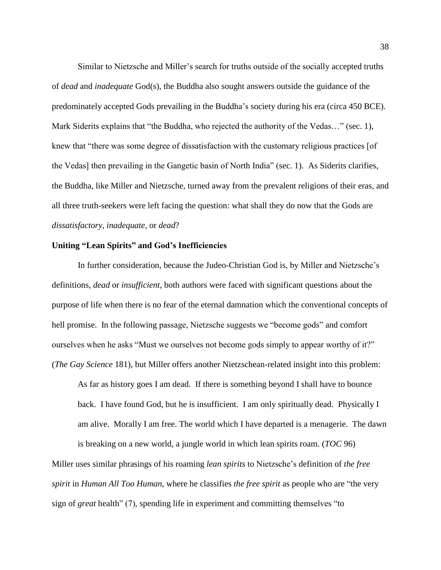Similar to Nietzsche and Miller's search for truths outside of the socially accepted truths of *dead* and *inadequate* God(s), the Buddha also sought answers outside the guidance of the predominately accepted Gods prevailing in the Buddha's society during his era (circa 450 BCE). Mark Siderits explains that "the Buddha, who rejected the authority of the Vedas..." (sec. 1), knew that "there was some degree of dissatisfaction with the customary religious practices [of the Vedas] then prevailing in the Gangetic basin of North India" (sec. 1). As Siderits clarifies, the Buddha, like Miller and Nietzsche, turned away from the prevalent religions of their eras, and all three truth-seekers were left facing the question: what shall they do now that the Gods are *dissatisfactory*, *inadequate*, or *dead*?

## **Uniting "Lean Spirits" and God's Inefficiencies**

In further consideration, because the Judeo-Christian God is, by Miller and Nietzsche's definitions, *dead* or *insufficient*, both authors were faced with significant questions about the purpose of life when there is no fear of the eternal damnation which the conventional concepts of hell promise. In the following passage, Nietzsche suggests we "become gods" and comfort ourselves when he asks "Must we ourselves not become gods simply to appear worthy of it?" (*The Gay Science* 181), but Miller offers another Nietzschean-related insight into this problem:

As far as history goes I am dead. If there is something beyond I shall have to bounce back. I have found God, but he is insufficient. I am only spiritually dead. Physically I am alive. Morally I am free. The world which I have departed is a menagerie. The dawn

Miller uses similar phrasings of his roaming *lean spirits* to Nietzsche's definition of *the free spirit* in *Human All Too Human,* where he classifies *the free spirit* as people who are "the very sign of *great* health" (7), spending life in experiment and committing themselves "to

is breaking on a new world, a jungle world in which lean spirits roam. (*TOC* 96)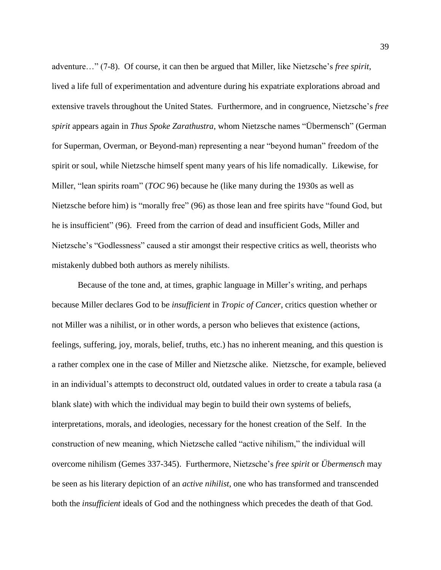adventure…" (7-8). Of course, it can then be argued that Miller, like Nietzsche's *free spirit*, lived a life full of experimentation and adventure during his expatriate explorations abroad and extensive travels throughout the United States. Furthermore, and in congruence, Nietzsche's *free spirit* appears again in *Thus Spoke Zarathustra*, whom Nietzsche names "Übermensch" (German for Superman, Overman, or Beyond-man) representing a near "beyond human" freedom of the spirit or soul, while Nietzsche himself spent many years of his life nomadically. Likewise, for Miller, "lean spirits roam" (*TOC* 96) because he (like many during the 1930s as well as Nietzsche before him) is "morally free" (96) as those lean and free spirits have "found God, but he is insufficient" (96). Freed from the carrion of dead and insufficient Gods, Miller and Nietzsche's "Godlessness" caused a stir amongst their respective critics as well, theorists who mistakenly dubbed both authors as merely nihilists.

Because of the tone and, at times, graphic language in Miller's writing, and perhaps because Miller declares God to be *insufficient* in *Tropic of Cancer*, critics question whether or not Miller was a nihilist, or in other words, a person who believes that existence (actions, feelings, suffering, joy, morals, belief, truths, etc.) has no inherent meaning, and this question is a rather complex one in the case of Miller and Nietzsche alike. Nietzsche, for example, believed in an individual's attempts to deconstruct old, outdated values in order to create a tabula rasa (a blank slate) with which the individual may begin to build their own systems of beliefs, interpretations, morals, and ideologies, necessary for the honest creation of the Self. In the construction of new meaning, which Nietzsche called "active nihilism," the individual will overcome nihilism (Gemes 337-345). Furthermore, Nietzsche's *free spirit* or *Übermensch* may be seen as his literary depiction of an *active nihilist*, one who has transformed and transcended both the *insufficient* ideals of God and the nothingness which precedes the death of that God.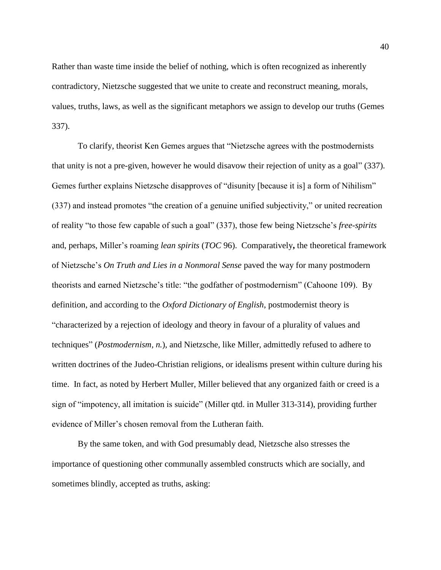Rather than waste time inside the belief of nothing, which is often recognized as inherently contradictory, Nietzsche suggested that we unite to create and reconstruct meaning, morals, values, truths, laws, as well as the significant metaphors we assign to develop our truths (Gemes 337).

To clarify, theorist Ken Gemes argues that "Nietzsche agrees with the postmodernists that unity is not a pre-given, however he would disavow their rejection of unity as a goal" (337). Gemes further explains Nietzsche disapproves of "disunity [because it is] a form of Nihilism" (337) and instead promotes "the creation of a genuine unified subjectivity," or united recreation of reality "to those few capable of such a goal" (337), those few being Nietzsche's *free-spirits* and, perhaps, Miller's roaming *lean spirits* (*TOC* 96). Comparatively**,** the theoretical framework of Nietzsche's *On Truth and Lies in a Nonmoral Sense* paved the way for many postmodern theorists and earned Nietzsche's title: "the godfather of postmodernism" (Cahoone 109). By definition, and according to the *Oxford Dictionary of English*, postmodernist theory is "characterized by a rejection of ideology and theory in favour of a plurality of values and techniques" (*Postmodernism, n.*), and Nietzsche, like Miller, admittedly refused to adhere to written doctrines of the Judeo-Christian religions, or idealisms present within culture during his time. In fact, as noted by Herbert Muller, Miller believed that any organized faith or creed is a sign of "impotency, all imitation is suicide" (Miller qtd. in Muller 313-314), providing further evidence of Miller's chosen removal from the Lutheran faith.

By the same token, and with God presumably dead, Nietzsche also stresses the importance of questioning other communally assembled constructs which are socially, and sometimes blindly, accepted as truths, asking: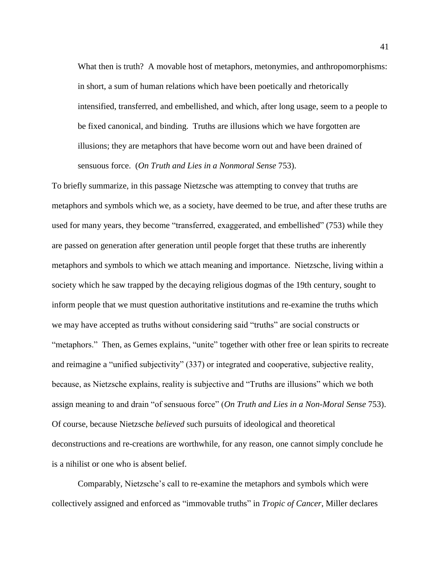What then is truth? A movable host of metaphors, metonymies, and anthropomorphisms: in short, a sum of human relations which have been poetically and rhetorically intensified, transferred, and embellished, and which, after long usage, seem to a people to be fixed canonical, and binding. Truths are illusions which we have forgotten are illusions; they are metaphors that have become worn out and have been drained of sensuous force. (*On Truth and Lies in a Nonmoral Sense* 753).

To briefly summarize, in this passage Nietzsche was attempting to convey that truths are metaphors and symbols which we, as a society, have deemed to be true, and after these truths are used for many years, they become "transferred, exaggerated, and embellished" (753) while they are passed on generation after generation until people forget that these truths are inherently metaphors and symbols to which we attach meaning and importance. Nietzsche, living within a society which he saw trapped by the decaying religious dogmas of the 19th century, sought to inform people that we must question authoritative institutions and re-examine the truths which we may have accepted as truths without considering said "truths" are social constructs or "metaphors." Then, as Gemes explains, "unite" together with other free or lean spirits to recreate and reimagine a "unified subjectivity" (337) or integrated and cooperative, subjective reality, because, as Nietzsche explains, reality is subjective and "Truths are illusions" which we both assign meaning to and drain "of sensuous force" (*On Truth and Lies in a Non-Moral Sense* 753). Of course, because Nietzsche *believed* such pursuits of ideological and theoretical deconstructions and re-creations are worthwhile, for any reason, one cannot simply conclude he is a nihilist or one who is absent belief*.* 

Comparably, Nietzsche's call to re-examine the metaphors and symbols which were collectively assigned and enforced as "immovable truths" in *Tropic of Cancer*, Miller declares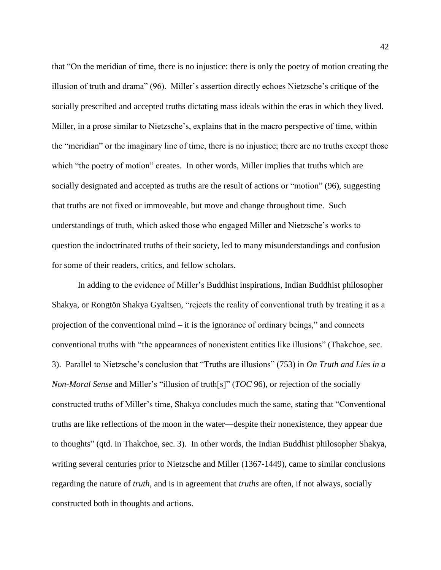that "On the meridian of time, there is no injustice: there is only the poetry of motion creating the illusion of truth and drama" (96). Miller's assertion directly echoes Nietzsche's critique of the socially prescribed and accepted truths dictating mass ideals within the eras in which they lived. Miller, in a prose similar to Nietzsche's, explains that in the macro perspective of time, within the "meridian" or the imaginary line of time, there is no injustice; there are no truths except those which "the poetry of motion" creates. In other words, Miller implies that truths which are socially designated and accepted as truths are the result of actions or "motion" (96), suggesting that truths are not fixed or immoveable, but move and change throughout time. Such understandings of truth, which asked those who engaged Miller and Nietzsche's works to question the indoctrinated truths of their society, led to many misunderstandings and confusion for some of their readers, critics, and fellow scholars.

In adding to the evidence of Miller's Buddhist inspirations, Indian Buddhist philosopher Shakya, or Rongtön Shakya Gyaltsen, "rejects the reality of conventional truth by treating it as a projection of the conventional mind – it is the ignorance of ordinary beings," and connects conventional truths with "the appearances of nonexistent entities like illusions" (Thakchoe, sec. 3). Parallel to Nietzsche's conclusion that "Truths are illusions" (753) in *On Truth and Lies in a Non-Moral Sense* and Miller's "illusion of truth[s]" (*TOC* 96), or rejection of the socially constructed truths of Miller's time, Shakya concludes much the same, stating that "Conventional truths are like reflections of the moon in the water—despite their nonexistence, they appear due to thoughts" (qtd. in Thakchoe, sec. 3). In other words, the Indian Buddhist philosopher Shakya, writing several centuries prior to Nietzsche and Miller (1367-1449), came to similar conclusions regarding the nature of *truth*, and is in agreement that *truths* are often, if not always, socially constructed both in thoughts and actions.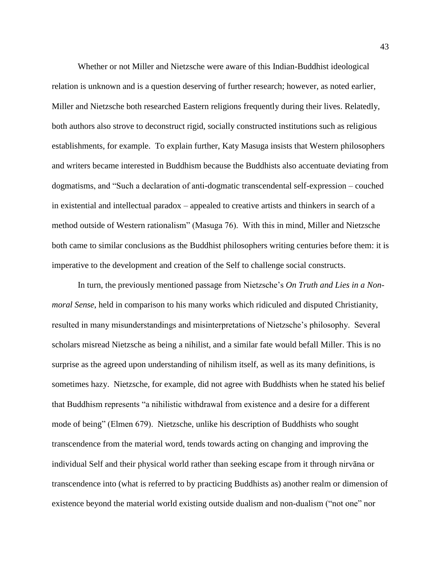Whether or not Miller and Nietzsche were aware of this Indian-Buddhist ideological relation is unknown and is a question deserving of further research; however, as noted earlier, Miller and Nietzsche both researched Eastern religions frequently during their lives. Relatedly, both authors also strove to deconstruct rigid, socially constructed institutions such as religious establishments, for example. To explain further, Katy Masuga insists that Western philosophers and writers became interested in Buddhism because the Buddhists also accentuate deviating from dogmatisms, and "Such a declaration of anti-dogmatic transcendental self-expression – couched in existential and intellectual paradox – appealed to creative artists and thinkers in search of a method outside of Western rationalism" (Masuga 76). With this in mind, Miller and Nietzsche both came to similar conclusions as the Buddhist philosophers writing centuries before them: it is imperative to the development and creation of the Self to challenge social constructs.

In turn, the previously mentioned passage from Nietzsche's *On Truth and Lies in a Nonmoral Sense*, held in comparison to his many works which ridiculed and disputed Christianity, resulted in many misunderstandings and misinterpretations of Nietzsche's philosophy. Several scholars misread Nietzsche as being a nihilist, and a similar fate would befall Miller. This is no surprise as the agreed upon understanding of nihilism itself, as well as its many definitions, is sometimes hazy. Nietzsche, for example, did not agree with Buddhists when he stated his belief that Buddhism represents "a nihilistic withdrawal from existence and a desire for a different mode of being" (Elmen 679). Nietzsche, unlike his description of Buddhists who sought transcendence from the material word, tends towards acting on changing and improving the individual Self and their physical world rather than seeking escape from it through nirvāna or transcendence into (what is referred to by practicing Buddhists as) another realm or dimension of existence beyond the material world existing outside dualism and non-dualism ("not one" nor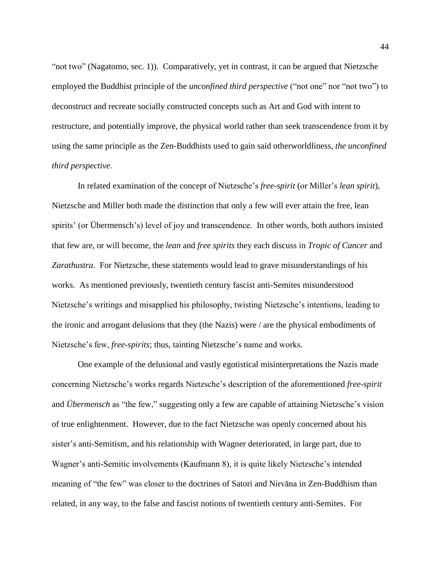"not two" (Nagatomo, sec. 1)). Comparatively, yet in contrast, it can be argued that Nietzsche employed the Buddhist principle of the *unconfined third perspective* ("not one" nor "not two") to deconstruct and recreate socially constructed concepts such as Art and God with intent to restructure, and potentially improve, the physical world rather than seek transcendence from it by using the same principle as the Zen-Buddhists used to gain said otherworldliness, *the unconfined third perspective*.

In related examination of the concept of Nietzsche's *free-spirit* (or Miller's *lean spirit*), Nietzsche and Miller both made the distinction that only a few will ever attain the free, lean spirits' (or Übermensch's) level of joy and transcendence. In other words, both authors insisted that few are, or will become, the *lean* and *free spirits* they each discuss in *Tropic of Cancer* and *Zarathustra*. For Nietzsche, these statements would lead to grave misunderstandings of his works. As mentioned previously, twentieth century fascist anti-Semites misunderstood Nietzsche's writings and misapplied his philosophy, twisting Nietzsche's intentions, leading to the ironic and arrogant delusions that they (the Nazis) were / are the physical embodiments of Nietzsche's few, *free-spirits*; thus, tainting Nietzsche's name and works.

One example of the delusional and vastly egotistical misinterpretations the Nazis made concerning Nietzsche's works regards Nietzsche's description of the aforementioned *free-spirit* and *Übermensch* as "the few," suggesting only a few are capable of attaining Nietzsche's vision of true enlightenment. However, due to the fact Nietzsche was openly concerned about his sister's anti-Semitism, and his relationship with Wagner deteriorated, in large part, due to Wagner's anti-Semitic involvements (Kaufmann 8), it is quite likely Nietzsche's intended meaning of "the few" was closer to the doctrines of Satori and Nirvāna in Zen-Buddhism than related, in any way, to the false and fascist notions of twentieth century anti-Semites. For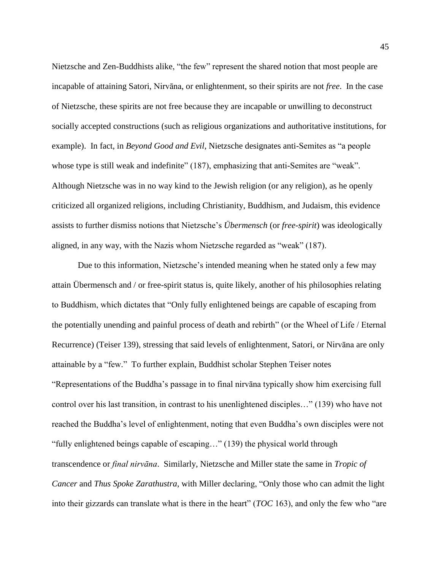Nietzsche and Zen-Buddhists alike, "the few" represent the shared notion that most people are incapable of attaining Satori, Nirvāna, or enlightenment, so their spirits are not *free*. In the case of Nietzsche, these spirits are not free because they are incapable or unwilling to deconstruct socially accepted constructions (such as religious organizations and authoritative institutions, for example). In fact, in *Beyond Good and Evil*, Nietzsche designates anti-Semites as "a people whose type is still weak and indefinite" (187), emphasizing that anti-Semites are "weak". Although Nietzsche was in no way kind to the Jewish religion (or any religion), as he openly criticized all organized religions, including Christianity, Buddhism, and Judaism, this evidence assists to further dismiss notions that Nietzsche's *Übermensch* (or *free-spirit*) was ideologically aligned, in any way, with the Nazis whom Nietzsche regarded as "weak" (187).

Due to this information, Nietzsche's intended meaning when he stated only a few may attain Übermensch and / or free-spirit status is, quite likely, another of his philosophies relating to Buddhism, which dictates that "Only fully enlightened beings are capable of escaping from the potentially unending and painful process of death and rebirth" (or the Wheel of Life / Eternal Recurrence) (Teiser 139), stressing that said levels of enlightenment, Satori, or Nirvāna are only attainable by a "few." To further explain, Buddhist scholar Stephen Teiser notes "Representations of the Buddha's passage in to final nirvāna typically show him exercising full control over his last transition, in contrast to his unenlightened disciples…" (139) who have not reached the Buddha's level of enlightenment, noting that even Buddha's own disciples were not "fully enlightened beings capable of escaping…" (139) the physical world through transcendence or *final nirvāna*. Similarly, Nietzsche and Miller state the same in *Tropic of Cancer* and *Thus Spoke Zarathustra*, with Miller declaring, "Only those who can admit the light into their gizzards can translate what is there in the heart" (*TOC* 163), and only the few who "are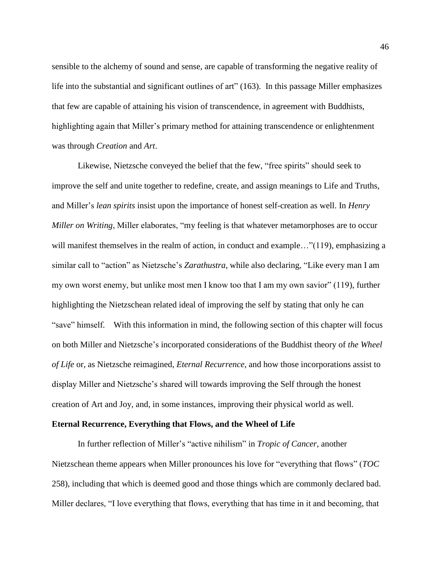sensible to the alchemy of sound and sense, are capable of transforming the negative reality of life into the substantial and significant outlines of art" (163). In this passage Miller emphasizes that few are capable of attaining his vision of transcendence, in agreement with Buddhists, highlighting again that Miller's primary method for attaining transcendence or enlightenment was through *Creation* and *Art*.

Likewise, Nietzsche conveyed the belief that the few, "free spirits" should seek to improve the self and unite together to redefine, create, and assign meanings to Life and Truths, and Miller's *lean spirits* insist upon the importance of honest self-creation as well. In *Henry Miller on Writing*, Miller elaborates, "my feeling is that whatever metamorphoses are to occur will manifest themselves in the realm of action, in conduct and example..."(119), emphasizing a similar call to "action" as Nietzsche's *Zarathustra*, while also declaring, "Like every man I am my own worst enemy, but unlike most men I know too that I am my own savior" (119), further highlighting the Nietzschean related ideal of improving the self by stating that only he can "save" himself. With this information in mind, the following section of this chapter will focus on both Miller and Nietzsche's incorporated considerations of the Buddhist theory of *the Wheel of Life* or, as Nietzsche reimagined, *Eternal Recurrence*, and how those incorporations assist to display Miller and Nietzsche's shared will towards improving the Self through the honest creation of Art and Joy, and, in some instances, improving their physical world as well.

#### **Eternal Recurrence, Everything that Flows, and the Wheel of Life**

In further reflection of Miller's "active nihilism" in *Tropic of Cancer*, another Nietzschean theme appears when Miller pronounces his love for "everything that flows" (*TOC* 258), including that which is deemed good and those things which are commonly declared bad. Miller declares, "I love everything that flows, everything that has time in it and becoming, that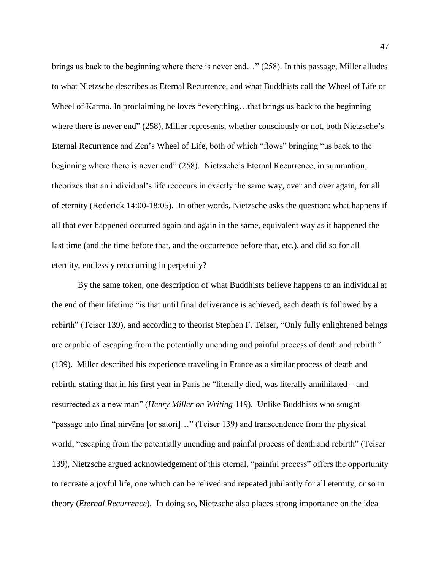brings us back to the beginning where there is never end…" (258). In this passage, Miller alludes to what Nietzsche describes as Eternal Recurrence, and what Buddhists call the Wheel of Life or Wheel of Karma. In proclaiming he loves **"**everything…that brings us back to the beginning where there is never end" (258), Miller represents, whether consciously or not, both Nietzsche's Eternal Recurrence and Zen's Wheel of Life, both of which "flows" bringing "us back to the beginning where there is never end" (258). Nietzsche's Eternal Recurrence, in summation, theorizes that an individual's life reoccurs in exactly the same way, over and over again, for all of eternity (Roderick 14:00-18:05). In other words, Nietzsche asks the question: what happens if all that ever happened occurred again and again in the same, equivalent way as it happened the last time (and the time before that, and the occurrence before that, etc.), and did so for all eternity, endlessly reoccurring in perpetuity?

By the same token, one description of what Buddhists believe happens to an individual at the end of their lifetime "is that until final deliverance is achieved, each death is followed by a rebirth" (Teiser 139), and according to theorist Stephen F. Teiser, "Only fully enlightened beings are capable of escaping from the potentially unending and painful process of death and rebirth" (139). Miller described his experience traveling in France as a similar process of death and rebirth, stating that in his first year in Paris he "literally died, was literally annihilated – and resurrected as a new man" (*Henry Miller on Writing* 119). Unlike Buddhists who sought "passage into final nirvāna [or satori]…" (Teiser 139) and transcendence from the physical world, "escaping from the potentially unending and painful process of death and rebirth" (Teiser 139), Nietzsche argued acknowledgement of this eternal, "painful process" offers the opportunity to recreate a joyful life, one which can be relived and repeated jubilantly for all eternity, or so in theory (*Eternal Recurrence*). In doing so, Nietzsche also places strong importance on the idea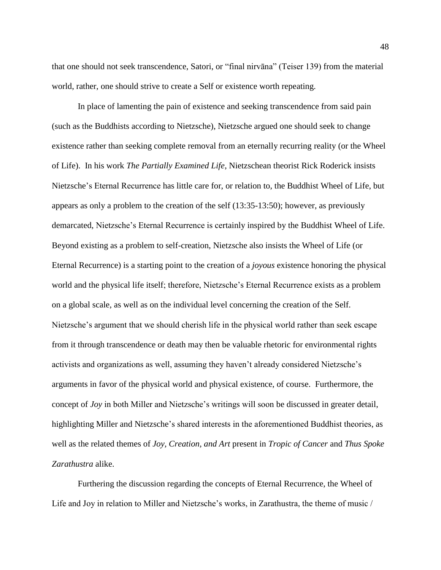that one should not seek transcendence, Satori, or "final nirvāna" (Teiser 139) from the material world, rather, one should strive to create a Self or existence worth repeating.

In place of lamenting the pain of existence and seeking transcendence from said pain (such as the Buddhists according to Nietzsche), Nietzsche argued one should seek to change existence rather than seeking complete removal from an eternally recurring reality (or the Wheel of Life). In his work *The Partially Examined Life*, Nietzschean theorist Rick Roderick insists Nietzsche's Eternal Recurrence has little care for, or relation to, the Buddhist Wheel of Life, but appears as only a problem to the creation of the self (13:35-13:50); however, as previously demarcated, Nietzsche's Eternal Recurrence is certainly inspired by the Buddhist Wheel of Life. Beyond existing as a problem to self-creation, Nietzsche also insists the Wheel of Life (or Eternal Recurrence) is a starting point to the creation of a *joyous* existence honoring the physical world and the physical life itself; therefore, Nietzsche's Eternal Recurrence exists as a problem on a global scale, as well as on the individual level concerning the creation of the Self. Nietzsche's argument that we should cherish life in the physical world rather than seek escape from it through transcendence or death may then be valuable rhetoric for environmental rights activists and organizations as well, assuming they haven't already considered Nietzsche's arguments in favor of the physical world and physical existence, of course. Furthermore, the concept of *Joy* in both Miller and Nietzsche's writings will soon be discussed in greater detail, highlighting Miller and Nietzsche's shared interests in the aforementioned Buddhist theories, as well as the related themes of *Joy, Creation, and Art* present in *Tropic of Cancer* and *Thus Spoke Zarathustra* alike.

Furthering the discussion regarding the concepts of Eternal Recurrence, the Wheel of Life and Joy in relation to Miller and Nietzsche's works, in Zarathustra, the theme of music /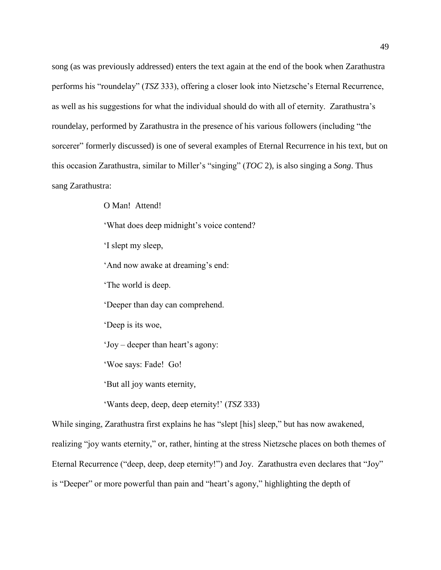song (as was previously addressed) enters the text again at the end of the book when Zarathustra performs his "roundelay" (*TSZ* 333), offering a closer look into Nietzsche's Eternal Recurrence, as well as his suggestions for what the individual should do with all of eternity. Zarathustra's roundelay, performed by Zarathustra in the presence of his various followers (including "the sorcerer" formerly discussed) is one of several examples of Eternal Recurrence in his text, but on this occasion Zarathustra, similar to Miller's "singing" (*TOC* 2), is also singing a *Song*. Thus sang Zarathustra:

O Man! Attend!

'What does deep midnight's voice contend?

'I slept my sleep,

'And now awake at dreaming's end:

'The world is deep.

'Deeper than day can comprehend.

'Deep is its woe,

'Joy – deeper than heart's agony:

'Woe says: Fade! Go!

'But all joy wants eternity,

'Wants deep, deep, deep eternity!' (*TSZ* 333)

While singing, Zarathustra first explains he has "slept [his] sleep," but has now awakened,

realizing "joy wants eternity," or, rather, hinting at the stress Nietzsche places on both themes of

Eternal Recurrence ("deep, deep, deep eternity!") and Joy. Zarathustra even declares that "Joy"

is "Deeper" or more powerful than pain and "heart's agony," highlighting the depth of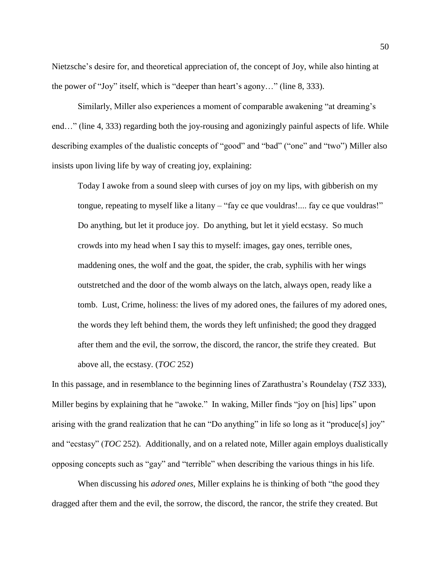Nietzsche's desire for, and theoretical appreciation of, the concept of Joy, while also hinting at the power of "Joy" itself, which is "deeper than heart's agony…" (line 8, 333).

Similarly, Miller also experiences a moment of comparable awakening "at dreaming's end…" (line 4, 333) regarding both the joy-rousing and agonizingly painful aspects of life. While describing examples of the dualistic concepts of "good" and "bad" ("one" and "two") Miller also insists upon living life by way of creating joy, explaining:

Today I awoke from a sound sleep with curses of joy on my lips, with gibberish on my tongue, repeating to myself like a litany – "fay ce que vouldras!.... fay ce que vouldras!" Do anything, but let it produce joy. Do anything, but let it yield ecstasy. So much crowds into my head when I say this to myself: images, gay ones, terrible ones, maddening ones, the wolf and the goat, the spider, the crab, syphilis with her wings outstretched and the door of the womb always on the latch, always open, ready like a tomb. Lust, Crime, holiness: the lives of my adored ones, the failures of my adored ones, the words they left behind them, the words they left unfinished; the good they dragged after them and the evil, the sorrow, the discord, the rancor, the strife they created. But above all, the ecstasy. (*TOC* 252)

In this passage, and in resemblance to the beginning lines of Zarathustra's Roundelay (*TSZ* 333), Miller begins by explaining that he "awoke." In waking, Miller finds "joy on [his] lips" upon arising with the grand realization that he can "Do anything" in life so long as it "produce[s] joy" and "ecstasy" (*TOC* 252). Additionally, and on a related note, Miller again employs dualistically opposing concepts such as "gay" and "terrible" when describing the various things in his life.

When discussing his *adored ones*, Miller explains he is thinking of both "the good they dragged after them and the evil, the sorrow, the discord, the rancor, the strife they created. But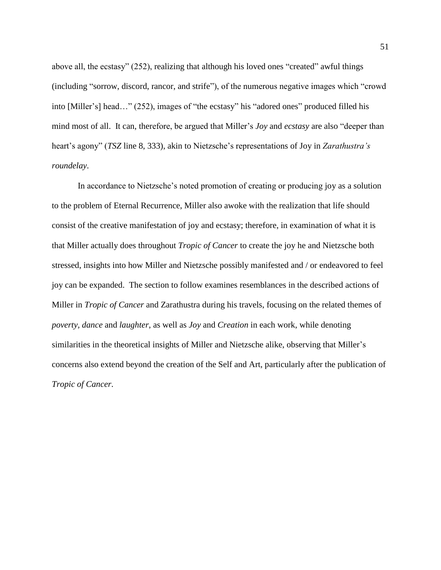above all, the ecstasy" (252), realizing that although his loved ones "created" awful things (including "sorrow, discord, rancor, and strife"), of the numerous negative images which "crowd into [Miller's] head…" (252), images of "the ecstasy" his "adored ones" produced filled his mind most of all. It can, therefore, be argued that Miller's *Joy* and *ecstasy* are also "deeper than heart's agony" (*TSZ* line 8, 333), akin to Nietzsche's representations of Joy in *Zarathustra's roundelay*.

In accordance to Nietzsche's noted promotion of creating or producing joy as a solution to the problem of Eternal Recurrence, Miller also awoke with the realization that life should consist of the creative manifestation of joy and ecstasy; therefore, in examination of what it is that Miller actually does throughout *Tropic of Cancer* to create the joy he and Nietzsche both stressed, insights into how Miller and Nietzsche possibly manifested and / or endeavored to feel joy can be expanded. The section to follow examines resemblances in the described actions of Miller in *Tropic of Cancer* and Zarathustra during his travels, focusing on the related themes of *poverty, dance* and *laughter*, as well as *Joy* and *Creation* in each work, while denoting similarities in the theoretical insights of Miller and Nietzsche alike, observing that Miller's concerns also extend beyond the creation of the Self and Art, particularly after the publication of *Tropic of Cancer*.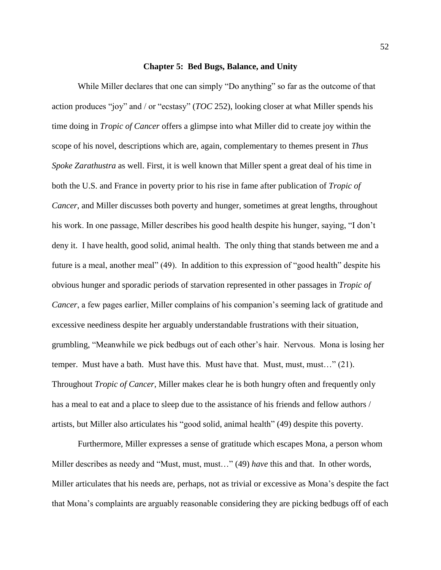#### **Chapter 5: Bed Bugs, Balance, and Unity**

While Miller declares that one can simply "Do anything" so far as the outcome of that action produces "joy" and / or "ecstasy" (*TOC* 252), looking closer at what Miller spends his time doing in *Tropic of Cancer* offers a glimpse into what Miller did to create joy within the scope of his novel, descriptions which are, again, complementary to themes present in *Thus Spoke Zarathustra* as well. First, it is well known that Miller spent a great deal of his time in both the U.S. and France in poverty prior to his rise in fame after publication of *Tropic of Cancer*, and Miller discusses both poverty and hunger, sometimes at great lengths, throughout his work. In one passage, Miller describes his good health despite his hunger, saying, "I don't deny it. I have health, good solid, animal health. The only thing that stands between me and a future is a meal, another meal" (49). In addition to this expression of "good health" despite his obvious hunger and sporadic periods of starvation represented in other passages in *Tropic of Cancer*, a few pages earlier, Miller complains of his companion's seeming lack of gratitude and excessive neediness despite her arguably understandable frustrations with their situation, grumbling, "Meanwhile we pick bedbugs out of each other's hair. Nervous. Mona is losing her temper. Must have a bath. Must have this. Must have that. Must, must, must…" (21). Throughout *Tropic of Cancer*, Miller makes clear he is both hungry often and frequently only has a meal to eat and a place to sleep due to the assistance of his friends and fellow authors / artists, but Miller also articulates his "good solid, animal health" (49) despite this poverty.

Furthermore, Miller expresses a sense of gratitude which escapes Mona, a person whom Miller describes as needy and "Must, must, must…" (49) *have* this and that. In other words, Miller articulates that his needs are, perhaps, not as trivial or excessive as Mona's despite the fact that Mona's complaints are arguably reasonable considering they are picking bedbugs off of each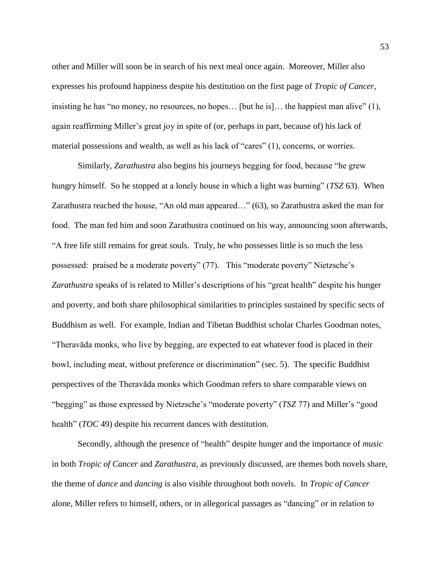other and Miller will soon be in search of his next meal once again. Moreover, Miller also expresses his profound happiness despite his destitution on the first page of *Tropic of Cancer*, insisting he has "no money, no resources, no hopes… [but he is]… the happiest man alive" (1), again reaffirming Miller's great joy in spite of (or, perhaps in part, because of) his lack of material possessions and wealth, as well as his lack of "cares" (1), concerns, or worries.

Similarly, *Zarathustra* also begins his journeys begging for food, because "he grew hungry himself. So he stopped at a lonely house in which a light was burning" (*TSZ* 63). When Zarathustra reached the house, "An old man appeared…" (63), so Zarathustra asked the man for food. The man fed him and soon Zarathustra continued on his way, announcing soon afterwards, "A free life still remains for great souls. Truly, he who possesses little is so much the less possessed: praised be a moderate poverty" (77). This "moderate poverty" Nietzsche's *Zarathustra* speaks of is related to Miller's descriptions of his "great health" despite his hunger and poverty, and both share philosophical similarities to principles sustained by specific sects of Buddhism as well. For example, Indian and Tibetan Buddhist scholar Charles Goodman notes, "Theravāda monks, who live by begging, are expected to eat whatever food is placed in their bowl, including meat, without preference or discrimination" (sec. 5). The specific Buddhist perspectives of the Theravāda monks which Goodman refers to share comparable views on "begging" as those expressed by Nietzsche's "moderate poverty" (*TSZ* 77) and Miller's "good health" (*TOC* 49) despite his recurrent dances with destitution.

Secondly, although the presence of "health" despite hunger and the importance of *music* in both *Tropic of Cancer* and *Zarathustra,* as previously discussed, are themes both novels share, the theme of *dance* and *dancing* is also visible throughout both novels. In *Tropic of Cancer* alone, Miller refers to himself, others, or in allegorical passages as "dancing" or in relation to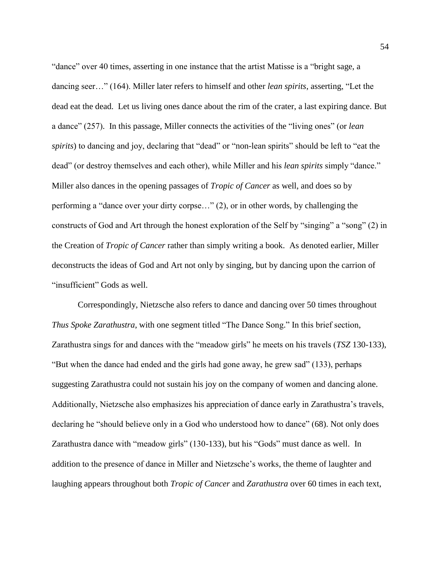"dance" over 40 times, asserting in one instance that the artist Matisse is a "bright sage, a dancing seer…" (164). Miller later refers to himself and other *lean spirits*, asserting, "Let the dead eat the dead. Let us living ones dance about the rim of the crater, a last expiring dance. But a dance" (257). In this passage, Miller connects the activities of the "living ones" (or *lean spirits*) to dancing and joy, declaring that "dead" or "non-lean spirits" should be left to "eat the dead" (or destroy themselves and each other), while Miller and his *lean spirits* simply "dance." Miller also dances in the opening passages of *Tropic of Cancer* as well, and does so by performing a "dance over your dirty corpse…" (2), or in other words, by challenging the constructs of God and Art through the honest exploration of the Self by "singing" a "song" (2) in the Creation of *Tropic of Cancer* rather than simply writing a book. As denoted earlier, Miller deconstructs the ideas of God and Art not only by singing, but by dancing upon the carrion of "insufficient" Gods as well.

Correspondingly, Nietzsche also refers to dance and dancing over 50 times throughout *Thus Spoke Zarathustra*, with one segment titled "The Dance Song." In this brief section, Zarathustra sings for and dances with the "meadow girls" he meets on his travels (*TSZ* 130-133), "But when the dance had ended and the girls had gone away, he grew sad" (133), perhaps suggesting Zarathustra could not sustain his joy on the company of women and dancing alone. Additionally, Nietzsche also emphasizes his appreciation of dance early in Zarathustra's travels, declaring he "should believe only in a God who understood how to dance" (68). Not only does Zarathustra dance with "meadow girls" (130-133), but his "Gods" must dance as well. In addition to the presence of dance in Miller and Nietzsche's works, the theme of laughter and laughing appears throughout both *Tropic of Cancer* and *Zarathustra* over 60 times in each text,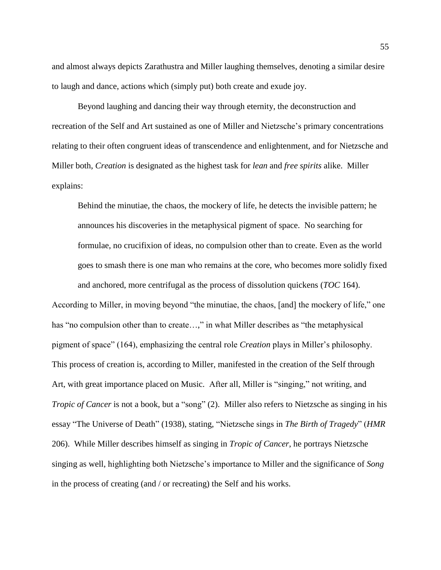and almost always depicts Zarathustra and Miller laughing themselves, denoting a similar desire to laugh and dance, actions which (simply put) both create and exude joy.

Beyond laughing and dancing their way through eternity, the deconstruction and recreation of the Self and Art sustained as one of Miller and Nietzsche's primary concentrations relating to their often congruent ideas of transcendence and enlightenment, and for Nietzsche and Miller both, *Creation* is designated as the highest task for *lean* and *free spirits* alike. Miller explains:

Behind the minutiae, the chaos, the mockery of life, he detects the invisible pattern; he announces his discoveries in the metaphysical pigment of space. No searching for formulae, no crucifixion of ideas, no compulsion other than to create. Even as the world goes to smash there is one man who remains at the core, who becomes more solidly fixed and anchored, more centrifugal as the process of dissolution quickens (*TOC* 164).

According to Miller, in moving beyond "the minutiae, the chaos, [and] the mockery of life," one has "no compulsion other than to create…," in what Miller describes as "the metaphysical pigment of space" (164), emphasizing the central role *Creation* plays in Miller's philosophy. This process of creation is, according to Miller, manifested in the creation of the Self through Art, with great importance placed on Music. After all, Miller is "singing," not writing, and *Tropic of Cancer* is not a book, but a "song" (2). Miller also refers to Nietzsche as singing in his essay "The Universe of Death" (1938), stating, "Nietzsche sings in *The Birth of Tragedy*" (*HMR* 206). While Miller describes himself as singing in *Tropic of Cancer*, he portrays Nietzsche singing as well, highlighting both Nietzsche's importance to Miller and the significance of *Song* in the process of creating (and / or recreating) the Self and his works.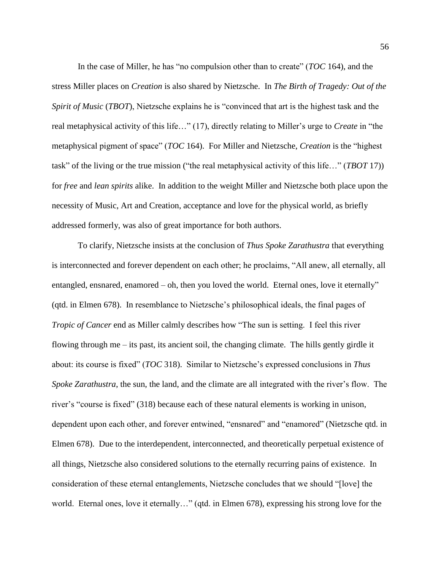In the case of Miller, he has "no compulsion other than to create" (*TOC* 164), and the stress Miller places on *Creation* is also shared by Nietzsche. In *The Birth of Tragedy: Out of the Spirit of Music* (*TBOT*), Nietzsche explains he is "convinced that art is the highest task and the real metaphysical activity of this life…" (17), directly relating to Miller's urge to *Create* in "the metaphysical pigment of space" (*TOC* 164). For Miller and Nietzsche, *Creation* is the "highest task" of the living or the true mission ("the real metaphysical activity of this life…" (*TBOT* 17)) for *free* and *lean spirits* alike. In addition to the weight Miller and Nietzsche both place upon the necessity of Music, Art and Creation, acceptance and love for the physical world, as briefly addressed formerly, was also of great importance for both authors.

To clarify, Nietzsche insists at the conclusion of *Thus Spoke Zarathustra* that everything is interconnected and forever dependent on each other; he proclaims, "All anew, all eternally, all entangled, ensnared, enamored – oh, then you loved the world. Eternal ones, love it eternally" (qtd. in Elmen 678). In resemblance to Nietzsche's philosophical ideals, the final pages of *Tropic of Cancer* end as Miller calmly describes how "The sun is setting. I feel this river flowing through me – its past, its ancient soil, the changing climate. The hills gently girdle it about: its course is fixed" (*TOC* 318). Similar to Nietzsche's expressed conclusions in *Thus Spoke Zarathustra*, the sun, the land, and the climate are all integrated with the river's flow. The river's "course is fixed" (318) because each of these natural elements is working in unison, dependent upon each other, and forever entwined, "ensnared" and "enamored" (Nietzsche qtd. in Elmen 678). Due to the interdependent, interconnected, and theoretically perpetual existence of all things, Nietzsche also considered solutions to the eternally recurring pains of existence. In consideration of these eternal entanglements, Nietzsche concludes that we should "[love] the world. Eternal ones, love it eternally…" (qtd. in Elmen 678), expressing his strong love for the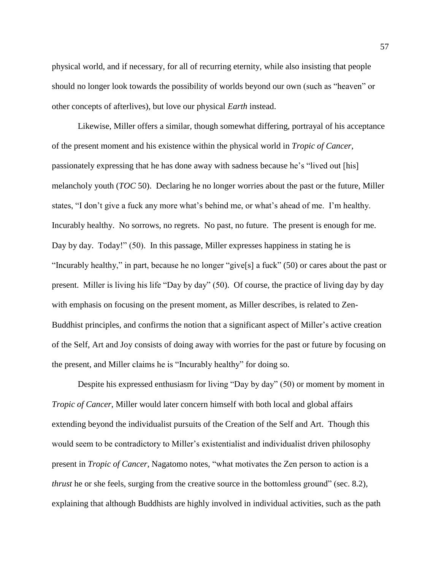physical world, and if necessary, for all of recurring eternity, while also insisting that people should no longer look towards the possibility of worlds beyond our own (such as "heaven" or other concepts of afterlives), but love our physical *Earth* instead.

Likewise, Miller offers a similar, though somewhat differing, portrayal of his acceptance of the present moment and his existence within the physical world in *Tropic of Cancer*, passionately expressing that he has done away with sadness because he's "lived out [his] melancholy youth (*TOC* 50). Declaring he no longer worries about the past or the future, Miller states, "I don't give a fuck any more what's behind me, or what's ahead of me. I'm healthy. Incurably healthy. No sorrows, no regrets. No past, no future. The present is enough for me. Day by day. Today!" (50). In this passage, Miller expresses happiness in stating he is "Incurably healthy," in part, because he no longer "give[s] a fuck" (50) or cares about the past or present. Miller is living his life "Day by day" (50). Of course, the practice of living day by day with emphasis on focusing on the present moment, as Miller describes, is related to Zen-Buddhist principles, and confirms the notion that a significant aspect of Miller's active creation of the Self, Art and Joy consists of doing away with worries for the past or future by focusing on the present, and Miller claims he is "Incurably healthy" for doing so.

Despite his expressed enthusiasm for living "Day by day" (50) or moment by moment in *Tropic of Cancer*, Miller would later concern himself with both local and global affairs extending beyond the individualist pursuits of the Creation of the Self and Art. Though this would seem to be contradictory to Miller's existentialist and individualist driven philosophy present in *Tropic of Cancer*, Nagatomo notes, "what motivates the Zen person to action is a *thrust* he or she feels, surging from the creative source in the bottomless ground" (sec. 8.2), explaining that although Buddhists are highly involved in individual activities, such as the path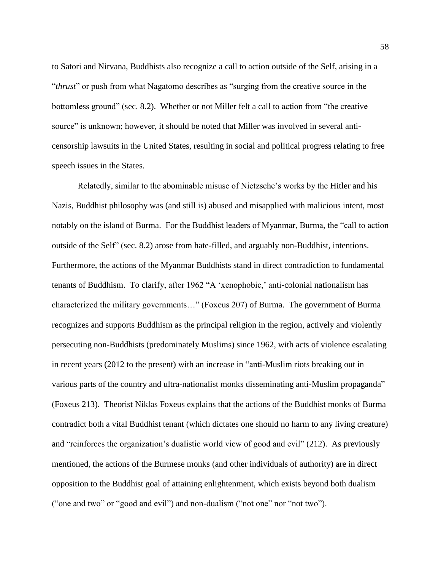to Satori and Nirvana, Buddhists also recognize a call to action outside of the Self, arising in a "*thrust*" or push from what Nagatomo describes as "surging from the creative source in the bottomless ground" (sec. 8.2). Whether or not Miller felt a call to action from "the creative source" is unknown; however, it should be noted that Miller was involved in several anticensorship lawsuits in the United States, resulting in social and political progress relating to free speech issues in the States.

Relatedly, similar to the abominable misuse of Nietzsche's works by the Hitler and his Nazis, Buddhist philosophy was (and still is) abused and misapplied with malicious intent, most notably on the island of Burma. For the Buddhist leaders of Myanmar, Burma, the "call to action outside of the Self" (sec. 8.2) arose from hate-filled, and arguably non-Buddhist, intentions. Furthermore, the actions of the Myanmar Buddhists stand in direct contradiction to fundamental tenants of Buddhism. To clarify, after 1962 "A 'xenophobic,' anti-colonial nationalism has characterized the military governments…" (Foxeus 207) of Burma. The government of Burma recognizes and supports Buddhism as the principal religion in the region, actively and violently persecuting non-Buddhists (predominately Muslims) since 1962, with acts of violence escalating in recent years (2012 to the present) with an increase in "anti-Muslim riots breaking out in various parts of the country and ultra-nationalist monks disseminating anti-Muslim propaganda" (Foxeus 213). Theorist Niklas Foxeus explains that the actions of the Buddhist monks of Burma contradict both a vital Buddhist tenant (which dictates one should no harm to any living creature) and "reinforces the organization's dualistic world view of good and evil" (212). As previously mentioned, the actions of the Burmese monks (and other individuals of authority) are in direct opposition to the Buddhist goal of attaining enlightenment, which exists beyond both dualism ("one and two" or "good and evil") and non-dualism ("not one" nor "not two").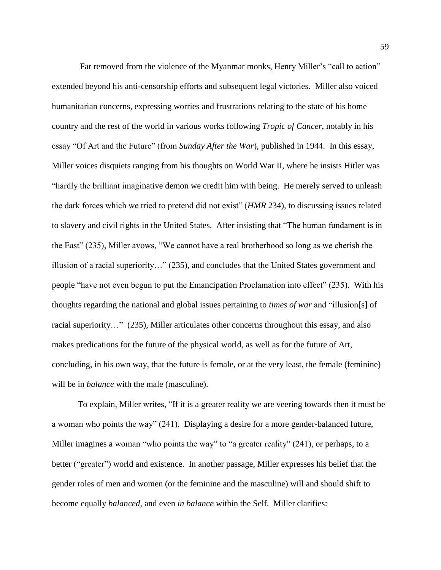Far removed from the violence of the Myanmar monks, Henry Miller's "call to action" extended beyond his anti-censorship efforts and subsequent legal victories. Miller also voiced humanitarian concerns, expressing worries and frustrations relating to the state of his home country and the rest of the world in various works following *Tropic of Cancer*, notably in his essay "Of Art and the Future" (from *Sunday After the War*), published in 1944. In this essay, Miller voices disquiets ranging from his thoughts on World War II, where he insists Hitler was "hardly the brilliant imaginative demon we credit him with being. He merely served to unleash the dark forces which we tried to pretend did not exist" (*HMR* 234), to discussing issues related to slavery and civil rights in the United States. After insisting that "The human fundament is in the East" (235), Miller avows, "We cannot have a real brotherhood so long as we cherish the illusion of a racial superiority…" (235), and concludes that the United States government and people "have not even begun to put the Emancipation Proclamation into effect" (235). With his thoughts regarding the national and global issues pertaining to *times of war* and "illusion[s] of racial superiority…" (235), Miller articulates other concerns throughout this essay, and also makes predications for the future of the physical world, as well as for the future of Art, concluding, in his own way, that the future is female, or at the very least, the female (feminine) will be in *balance* with the male (masculine).

To explain, Miller writes, "If it is a greater reality we are veering towards then it must be a woman who points the way" (241). Displaying a desire for a more gender-balanced future, Miller imagines a woman "who points the way" to "a greater reality" (241), or perhaps, to a better ("greater") world and existence. In another passage, Miller expresses his belief that the gender roles of men and women (or the feminine and the masculine) will and should shift to become equally *balanced*, and even *in balance* within the Self. Miller clarifies: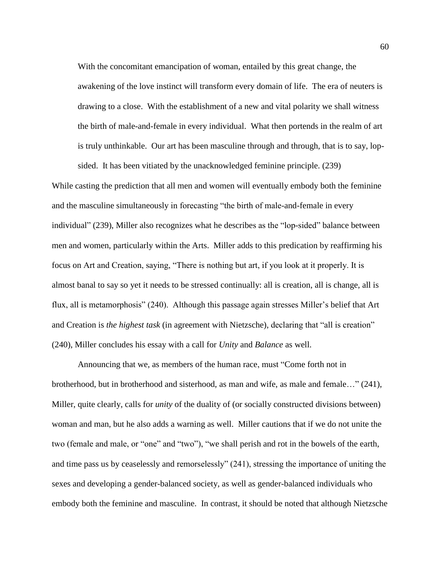With the concomitant emancipation of woman, entailed by this great change, the awakening of the love instinct will transform every domain of life. The era of neuters is drawing to a close. With the establishment of a new and vital polarity we shall witness the birth of male-and-female in every individual. What then portends in the realm of art is truly unthinkable. Our art has been masculine through and through, that is to say, lopsided. It has been vitiated by the unacknowledged feminine principle. (239)

While casting the prediction that all men and women will eventually embody both the feminine and the masculine simultaneously in forecasting "the birth of male-and-female in every individual" (239), Miller also recognizes what he describes as the "lop-sided" balance between men and women, particularly within the Arts. Miller adds to this predication by reaffirming his focus on Art and Creation, saying, "There is nothing but art, if you look at it properly. It is almost banal to say so yet it needs to be stressed continually: all is creation, all is change, all is flux, all is metamorphosis" (240). Although this passage again stresses Miller's belief that Art and Creation is *the highest task* (in agreement with Nietzsche), declaring that "all is creation" (240), Miller concludes his essay with a call for *Unity* and *Balance* as well.

Announcing that we, as members of the human race, must "Come forth not in brotherhood, but in brotherhood and sisterhood, as man and wife, as male and female…" (241), Miller, quite clearly, calls for *unity* of the duality of (or socially constructed divisions between) woman and man, but he also adds a warning as well. Miller cautions that if we do not unite the two (female and male, or "one" and "two"), "we shall perish and rot in the bowels of the earth, and time pass us by ceaselessly and remorselessly" (241), stressing the importance of uniting the sexes and developing a gender-balanced society, as well as gender-balanced individuals who embody both the feminine and masculine. In contrast, it should be noted that although Nietzsche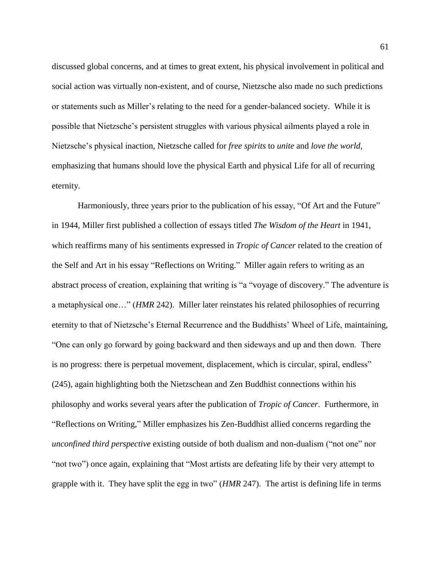discussed global concerns, and at times to great extent, his physical involvement in political and social action was virtually non-existent, and of course, Nietzsche also made no such predictions or statements such as Miller's relating to the need for a gender-balanced society. While it is possible that Nietzsche's persistent struggles with various physical ailments played a role in Nietzsche's physical inaction, Nietzsche called for *free spirits* to *unite* and *love the world*, emphasizing that humans should love the physical Earth and physical Life for all of recurring eternity.

Harmoniously, three years prior to the publication of his essay, "Of Art and the Future" in 1944, Miller first published a collection of essays titled *The Wisdom of the Heart* in 1941, which reaffirms many of his sentiments expressed in *Tropic of Cancer* related to the creation of the Self and Art in his essay "Reflections on Writing." Miller again refers to writing as an abstract process of creation, explaining that writing is "a "voyage of discovery." The adventure is a metaphysical one…" (*HMR* 242). Miller later reinstates his related philosophies of recurring eternity to that of Nietzsche's Eternal Recurrence and the Buddhists' Wheel of Life, maintaining, "One can only go forward by going backward and then sideways and up and then down. There is no progress: there is perpetual movement, displacement, which is circular, spiral, endless" (245), again highlighting both the Nietzschean and Zen Buddhist connections within his philosophy and works several years after the publication of *Tropic of Cancer*. Furthermore, in "Reflections on Writing," Miller emphasizes his Zen-Buddhist allied concerns regarding the *unconfined third perspective* existing outside of both dualism and non-dualism ("not one" nor "not two") once again, explaining that "Most artists are defeating life by their very attempt to grapple with it. They have split the egg in two" (*HMR* 247). The artist is defining life in terms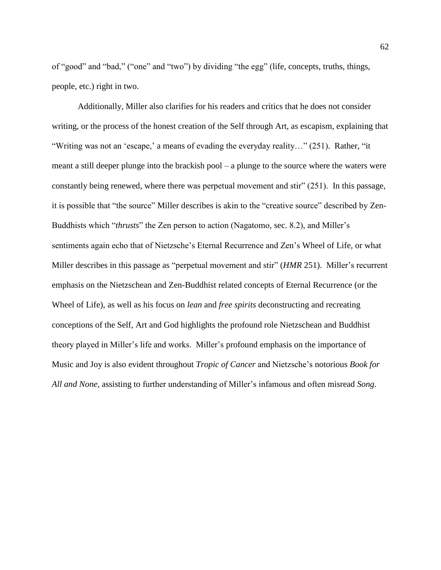of "good" and "bad," ("one" and "two") by dividing "the egg" (life, concepts, truths, things, people, etc.) right in two.

Additionally, Miller also clarifies for his readers and critics that he does not consider writing, or the process of the honest creation of the Self through Art, as escapism, explaining that "Writing was not an 'escape,' a means of evading the everyday reality…" (251). Rather, "it meant a still deeper plunge into the brackish pool – a plunge to the source where the waters were constantly being renewed, where there was perpetual movement and stir" (251). In this passage, it is possible that "the source" Miller describes is akin to the "creative source" described by Zen-Buddhists which "*thrusts*" the Zen person to action (Nagatomo, sec. 8.2), and Miller's sentiments again echo that of Nietzsche's Eternal Recurrence and Zen's Wheel of Life, or what Miller describes in this passage as "perpetual movement and stir" (*HMR* 251). Miller's recurrent emphasis on the Nietzschean and Zen-Buddhist related concepts of Eternal Recurrence (or the Wheel of Life), as well as his focus on *lean* and *free spirits* deconstructing and recreating conceptions of the Self, Art and God highlights the profound role Nietzschean and Buddhist theory played in Miller's life and works. Miller's profound emphasis on the importance of Music and Joy is also evident throughout *Tropic of Cancer* and Nietzsche's notorious *Book for All and None*, assisting to further understanding of Miller's infamous and often misread *Song*.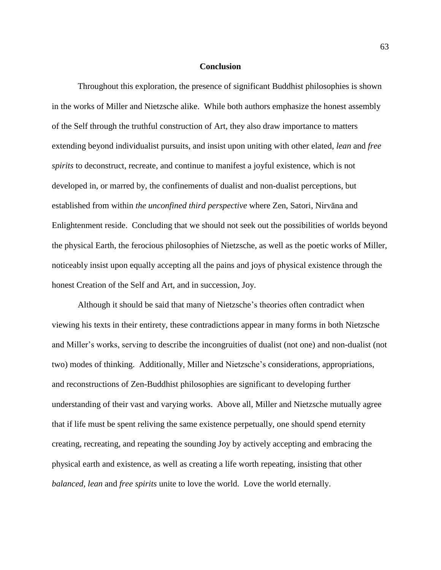#### **Conclusion**

Throughout this exploration, the presence of significant Buddhist philosophies is shown in the works of Miller and Nietzsche alike. While both authors emphasize the honest assembly of the Self through the truthful construction of Art, they also draw importance to matters extending beyond individualist pursuits, and insist upon uniting with other elated, *lean* and *free spirits* to deconstruct, recreate, and continue to manifest a joyful existence, which is not developed in, or marred by, the confinements of dualist and non-dualist perceptions, but established from within *the unconfined third perspective* where Zen, Satori, Nirvāna and Enlightenment reside. Concluding that we should not seek out the possibilities of worlds beyond the physical Earth, the ferocious philosophies of Nietzsche, as well as the poetic works of Miller, noticeably insist upon equally accepting all the pains and joys of physical existence through the honest Creation of the Self and Art, and in succession, Joy.

Although it should be said that many of Nietzsche's theories often contradict when viewing his texts in their entirety, these contradictions appear in many forms in both Nietzsche and Miller's works, serving to describe the incongruities of dualist (not one) and non-dualist (not two) modes of thinking. Additionally, Miller and Nietzsche's considerations, appropriations, and reconstructions of Zen-Buddhist philosophies are significant to developing further understanding of their vast and varying works. Above all, Miller and Nietzsche mutually agree that if life must be spent reliving the same existence perpetually, one should spend eternity creating, recreating, and repeating the sounding Joy by actively accepting and embracing the physical earth and existence, as well as creating a life worth repeating, insisting that other *balanced*, *lean* and *free spirits* unite to love the world. Love the world eternally.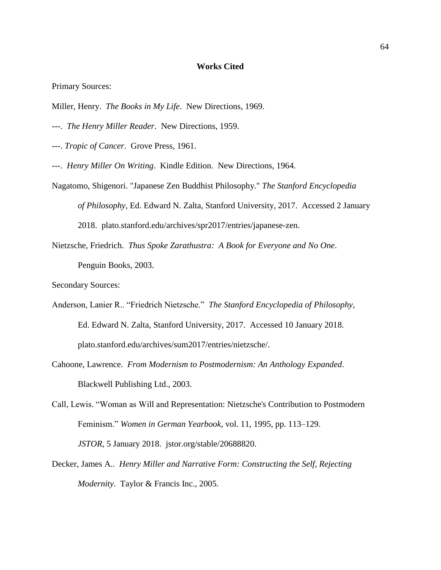#### **Works Cited**

Primary Sources:

Miller, Henry. *The Books in My Life*. New Directions, 1969.

---. *The Henry Miller Reader*. New Directions, 1959.

---. *Tropic of Cancer*. Grove Press, 1961.

---. *Henry Miller On Writing*. Kindle Edition. New Directions, 1964.

- Nagatomo, Shigenori. "Japanese Zen Buddhist Philosophy." *The Stanford Encyclopedia of Philosophy*, Ed. Edward N. Zalta, Stanford University, 2017. Accessed 2 January 2018. plato.stanford.edu/archives/spr2017/entries/japanese-zen.
- Nietzsche, Friedrich. *Thus Spoke Zarathustra: A Book for Everyone and No One*. Penguin Books, 2003.

Secondary Sources:

- Anderson, Lanier R.. "Friedrich Nietzsche." *The Stanford Encyclopedia of Philosophy*, Ed. Edward N. Zalta, Stanford University, 2017. Accessed 10 January 2018. plato.stanford.edu/archives/sum2017/entries/nietzsche/.
- Cahoone, Lawrence. *From Modernism to Postmodernism: An Anthology Expanded*. Blackwell Publishing Ltd., 2003.
- Call, Lewis. "Woman as Will and Representation: Nietzsche's Contribution to Postmodern Feminism." *Women in German Yearbook*, vol. 11, 1995, pp. 113–129. *JSTOR*, 5 January 2018. [jstor.org/stable/20688820.](http://www.jstor.org/stable/20688820)
- Decker, James A.. *Henry Miller and Narrative Form: Constructing the Self, Rejecting Modernity*. Taylor & Francis Inc., 2005.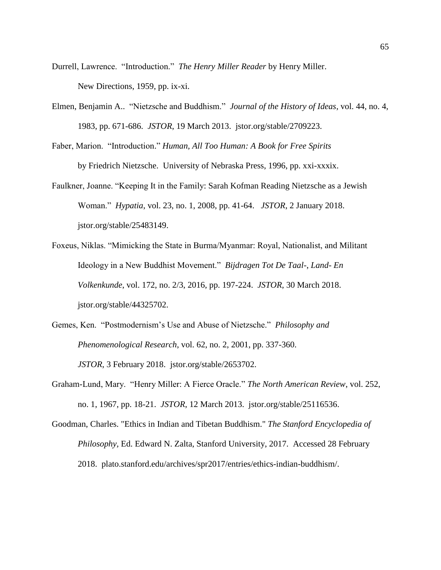- Durrell, Lawrence. "Introduction." *The Henry Miller Reader* by Henry Miller. New Directions, 1959, pp. ix-xi.
- Elmen, Benjamin A.. "Nietzsche and Buddhism." *Journal of the History of Ideas*, vol. 44, no. 4, 1983, pp. 671-686. *JSTOR*, 19 March 2013. [jstor.org/stable/2709223.](http://www.jstor.org/stable/2709223)
- Faber, Marion. "Introduction." *Human, All Too Human: A Book for Free Spirits* by Friedrich Nietzsche. University of Nebraska Press, 1996, pp. xxi-xxxix.
- Faulkner, Joanne. "Keeping It in the Family: Sarah Kofman Reading Nietzsche as a Jewish Woman." *Hypatia*, vol. 23, no. 1, 2008, pp. 41-64. *JSTOR*, 2 January 2018. jstor.org/stable/25483149.
- Foxeus, Niklas. "Mimicking the State in Burma/Myanmar: Royal, Nationalist, and Militant Ideology in a New Buddhist Movement." *Bijdragen Tot De Taal-*, *Land- En Volkenkunde*, vol. 172, no. 2/3, 2016, pp. 197-224. *JSTOR*, 30 March 2018. jstor.org/stable/44325702.
- Gemes, Ken. "Postmodernism's Use and Abuse of Nietzsche." *Philosophy and Phenomenological Research*, vol. 62, no. 2, 2001, pp. 337-360. *JSTOR*, 3 February 2018. jstor.org/stable/2653702.
- Graham-Lund, Mary. "Henry Miller: A Fierce Oracle." *The North American Review*, vol. 252, no. 1, 1967, pp. 18-21. *JSTOR*, 12 March 2013. jstor.org/stable/25116536.
- Goodman, Charles. "Ethics in Indian and Tibetan Buddhism." *The Stanford Encyclopedia of Philosophy,* Ed. Edward N. Zalta, Stanford University, 2017. Accessed 28 February 2018. plato.stanford.edu/archives/spr2017/entries/ethics-indian-buddhism/.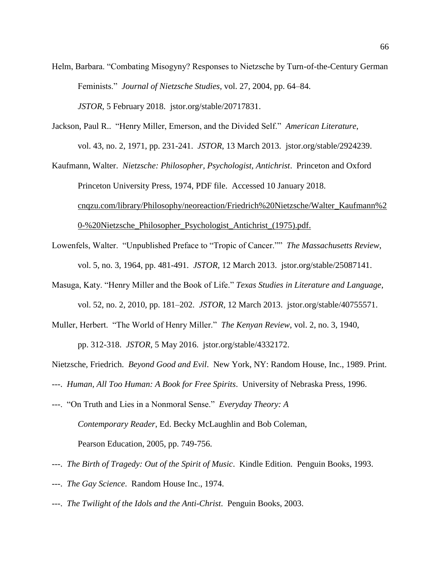- Helm, Barbara. "Combating Misogyny? Responses to Nietzsche by Turn-of-the-Century German Feminists." *Journal of Nietzsche Studies*, vol. 27, 2004, pp. 64–84. *JSTOR*, 5 February 2018. jstor.org/stable/20717831.
- Jackson, Paul R.. "Henry Miller, Emerson, and the Divided Self." *American Literature*, vol. 43, no. 2, 1971, pp. 231-241. *JSTOR*, 13 March 2013. jstor.org/stable/2924239.
- Kaufmann, Walter. *Nietzsche: Philosopher, Psychologist, Antichrist*. Princeton and Oxford Princeton University Press, 1974, PDF file. Accessed 10 January 2018. [cnqzu.com/library/Philosophy/neoreaction/Friedrich%20Nietzsche/Walter\\_Kaufmann%2](http://cnqzu.com/library/Philosophy/neoreaction/Friedrich%20Nietzsche/Walter_Kaufmann%20-%20Nietzsche_Philosopher_Psychologist_Antichrist_(1975).pdf) [0-%20Nietzsche\\_Philosopher\\_Psychologist\\_Antichrist\\_\(1975\).pdf.](http://cnqzu.com/library/Philosophy/neoreaction/Friedrich%20Nietzsche/Walter_Kaufmann%20-%20Nietzsche_Philosopher_Psychologist_Antichrist_(1975).pdf)
- Lowenfels, Walter. "Unpublished Preface to "Tropic of Cancer."" *The Massachusetts Review*, vol. 5, no. 3, 1964, pp. 481-491. *JSTOR*, 12 March 2013. jstor.org/stable/25087141.
- Masuga, Katy. "Henry Miller and the Book of Life." *Texas Studies in Literature and Language*, vol. 52, no. 2, 2010, pp. 181–202. *JSTOR*, 12 March 2013. jstor.org/stable/40755571.
- Muller, Herbert. "The World of Henry Miller." *The Kenyan Review*, vol. 2, no. 3, 1940,

pp. 312-318. *JSTOR*, 5 May 2016. jstor.org/stable/4332172.

- Nietzsche, Friedrich. *Beyond Good and Evil*. New York, NY: Random House, Inc., 1989. Print.
- ---. *Human, All Too Human: A Book for Free Spirits*. University of Nebraska Press, 1996.
- ---. "On Truth and Lies in a Nonmoral Sense." *Everyday Theory: A Contemporary Reader*, Ed. Becky McLaughlin and Bob Coleman, Pearson Education, 2005, pp. 749-756.
- ---. *The Birth of Tragedy: Out of the Spirit of Music*. Kindle Edition. Penguin Books, 1993. ---. *The Gay Science*. Random House Inc., 1974.
- ---. *The Twilight of the Idols and the Anti-Christ*. Penguin Books, 2003.